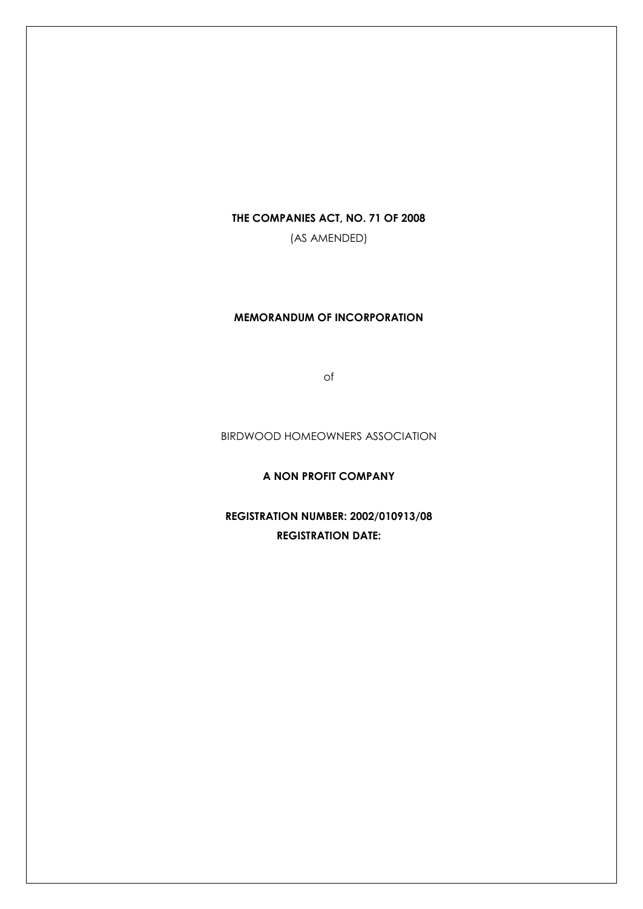## **THE COMPANIES ACT, NO. 71 OF 2008**

(AS AMENDED)

# **MEMORANDUM OF INCORPORATION**

of

BIRDWOOD HOMEOWNERS ASSOCIATION

**A NON PROFIT COMPANY**

**REGISTRATION NUMBER: 2002/010913/08 REGISTRATION DATE:**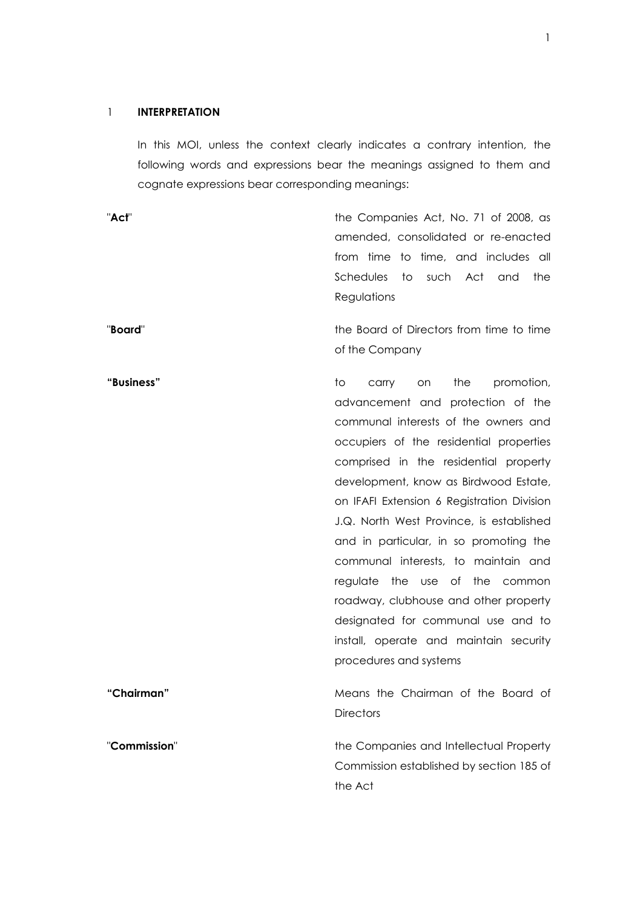### 1 **INTERPRETATION**

In this MOI, unless the context clearly indicates a contrary intention, the following words and expressions bear the meanings assigned to them and cognate expressions bear corresponding meanings:

"Act" The Companies Act, No. 71 of 2008, as amended, consolidated or re-enacted from time to time, and includes all Schedules to such Act and the Regulations

"**Board**" the Board of Directors from time to time of the Company

advancement and protection of the communal interests of the owners and occupiers of the residential properties comprised in the residential property development, know as Birdwood Estate, on IFAFI Extension 6 Registration Division J.Q. North West Province, is established and in particular, in so promoting the communal interests, to maintain and regulate the use of the common roadway, clubhouse and other property designated for communal use and to install, operate and maintain security procedures and systems **"Chairman"** Means the Chairman of the Board of **Directors** "**Commission**" the Companies and Intellectual Property Commission established by section 185 of the Act

**"Business"** to carry on the promotion,

1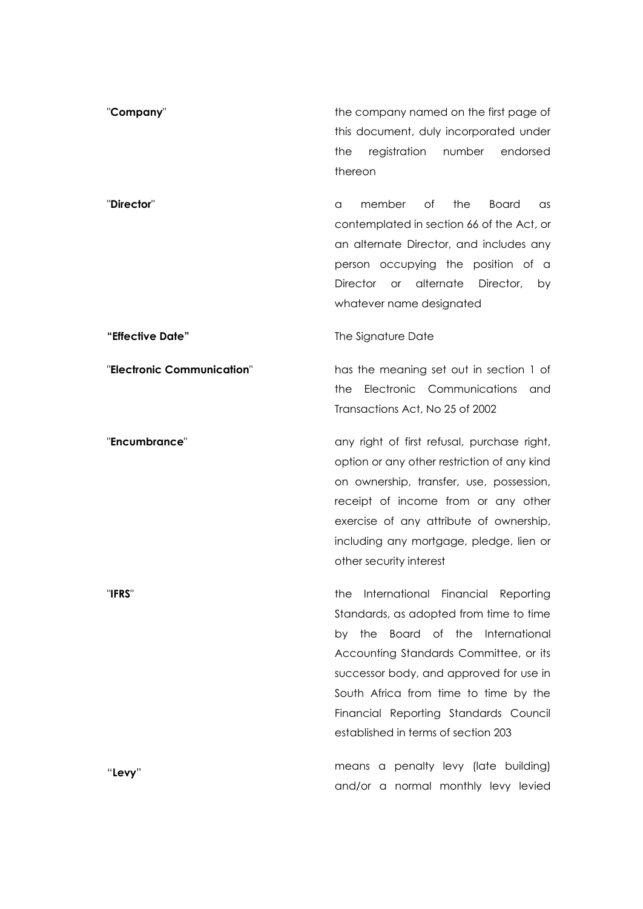| "Company"                  | the company named on the first page of<br>this document, duly incorporated under<br>registration<br>number<br>endorsed<br>the<br>thereon                                                                                                                                                                                                        |
|----------------------------|-------------------------------------------------------------------------------------------------------------------------------------------------------------------------------------------------------------------------------------------------------------------------------------------------------------------------------------------------|
| "Director"                 | of<br>the<br>member<br><b>Board</b><br>as<br>a<br>contemplated in section 66 of the Act, or<br>an alternate Director, and includes any<br>person occupying the position of a<br><b>Director</b><br>alternate<br>Director,<br>$\mathsf{or}$<br>by<br>whatever name designated                                                                    |
| "Effective Date"           | The Signature Date                                                                                                                                                                                                                                                                                                                              |
| "Electronic Communication" | has the meaning set out in section 1 of<br>Electronic Communications<br>the<br>and<br>Transactions Act, No 25 of 2002                                                                                                                                                                                                                           |
| "Encumbrance"              | any right of first refusal, purchase right,<br>option or any other restriction of any kind<br>on ownership, transfer, use, possession,<br>receipt of income from or any other<br>exercise of any attribute of ownership,<br>including any mortgage, pledge, lien or<br>other security interest                                                  |
| "IFRS"                     | International Financial Reporting<br>the<br>Standards, as adopted from time to time<br>Board of the<br>International<br>the<br>by<br>Accounting Standards Committee, or its<br>successor body, and approved for use in<br>South Africa from time to time by the<br>Financial Reporting Standards Council<br>established in terms of section 203 |
| "Levy"                     | means a penalty levy (late building)<br>and/or a normal monthly levy levied                                                                                                                                                                                                                                                                     |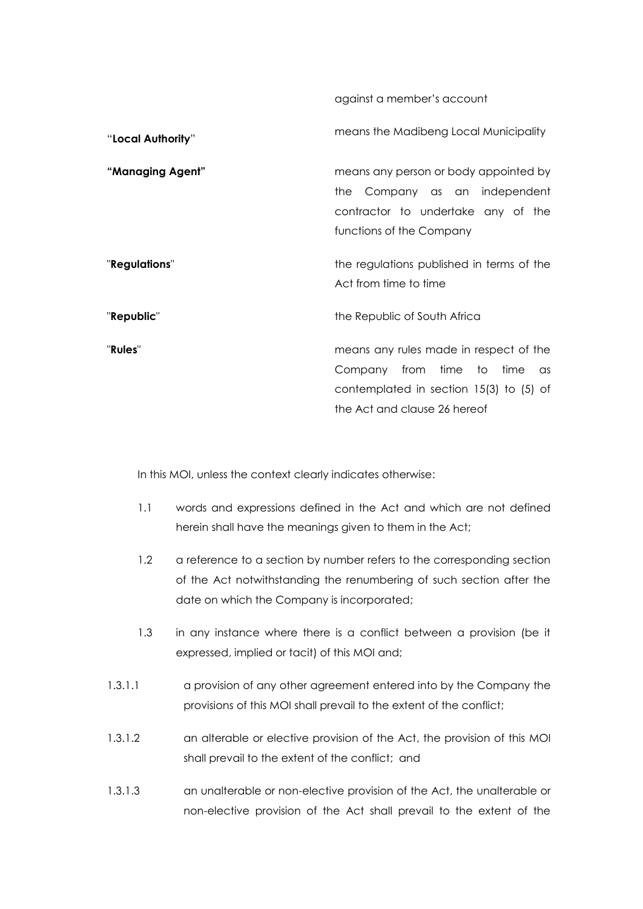against a member's account

| "Local Authority" | means the Madibeng Local Municipality                                                                                                                            |
|-------------------|------------------------------------------------------------------------------------------------------------------------------------------------------------------|
| "Managing Agent"  | means any person or body appointed by<br>the Company as an independent<br>contractor to undertake any of the<br>functions of the Company                         |
| "Regulations"     | the regulations published in terms of the<br>Act from time to time                                                                                               |
| "Republic"        | the Republic of South Africa                                                                                                                                     |
| "Rules"           | means any rules made in respect of the<br>Company from time to time<br>$\alpha$ s<br>contemplated in section $15(3)$ to $(5)$ of<br>the Act and clause 26 hereof |

In this MOI, unless the context clearly indicates otherwise:

- 1.1 words and expressions defined in the Act and which are not defined herein shall have the meanings given to them in the Act;
- 1.2 a reference to a section by number refers to the corresponding section of the Act notwithstanding the renumbering of such section after the date on which the Company is incorporated;
- 1.3 in any instance where there is a conflict between a provision (be it expressed, implied or tacit) of this MOI and;
- 1.3.1.1 a provision of any other agreement entered into by the Company the provisions of this MOI shall prevail to the extent of the conflict;
- 1.3.1.2 an alterable or elective provision of the Act, the provision of this MOI shall prevail to the extent of the conflict; and
- 1.3.1.3 an unalterable or non-elective provision of the Act, the unalterable or non-elective provision of the Act shall prevail to the extent of the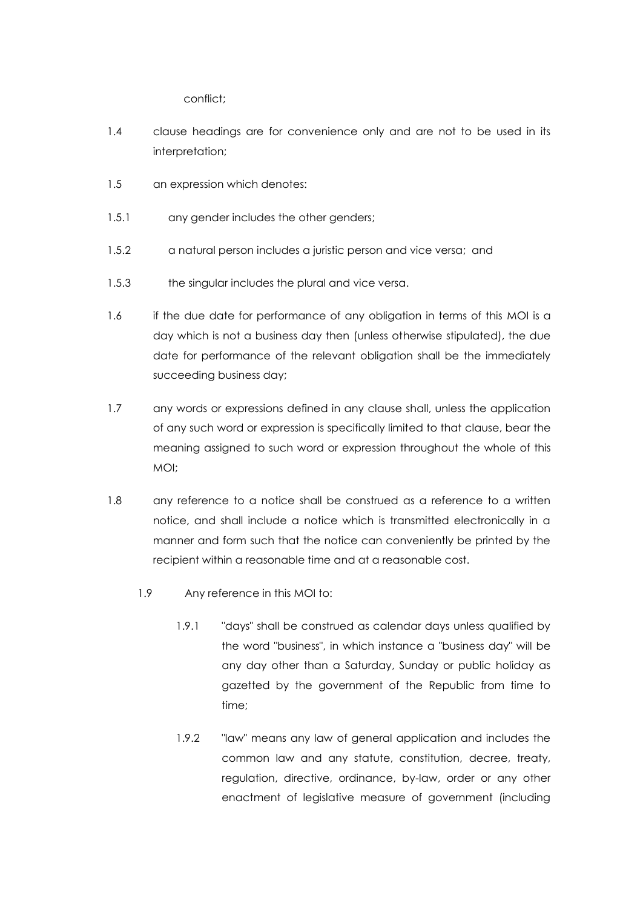conflict;

- 1.4 clause headings are for convenience only and are not to be used in its interpretation;
- 1.5 an expression which denotes:
- 1.5.1 any gender includes the other genders;
- 1.5.2 a natural person includes a juristic person and vice versa; and
- 1.5.3 the singular includes the plural and vice versa.
- 1.6 if the due date for performance of any obligation in terms of this MOI is a day which is not a business day then (unless otherwise stipulated), the due date for performance of the relevant obligation shall be the immediately succeeding business day;
- 1.7 any words or expressions defined in any clause shall, unless the application of any such word or expression is specifically limited to that clause, bear the meaning assigned to such word or expression throughout the whole of this MOI;
- 1.8 any reference to a notice shall be construed as a reference to a written notice, and shall include a notice which is transmitted electronically in a manner and form such that the notice can conveniently be printed by the recipient within a reasonable time and at a reasonable cost.
	- 1.9 Any reference in this MOI to:
		- 1.9.1 "days" shall be construed as calendar days unless qualified by the word "business", in which instance a "business day" will be any day other than a Saturday, Sunday or public holiday as gazetted by the government of the Republic from time to time;
		- 1.9.2 "law" means any law of general application and includes the common law and any statute, constitution, decree, treaty, regulation, directive, ordinance, by-law, order or any other enactment of legislative measure of government (including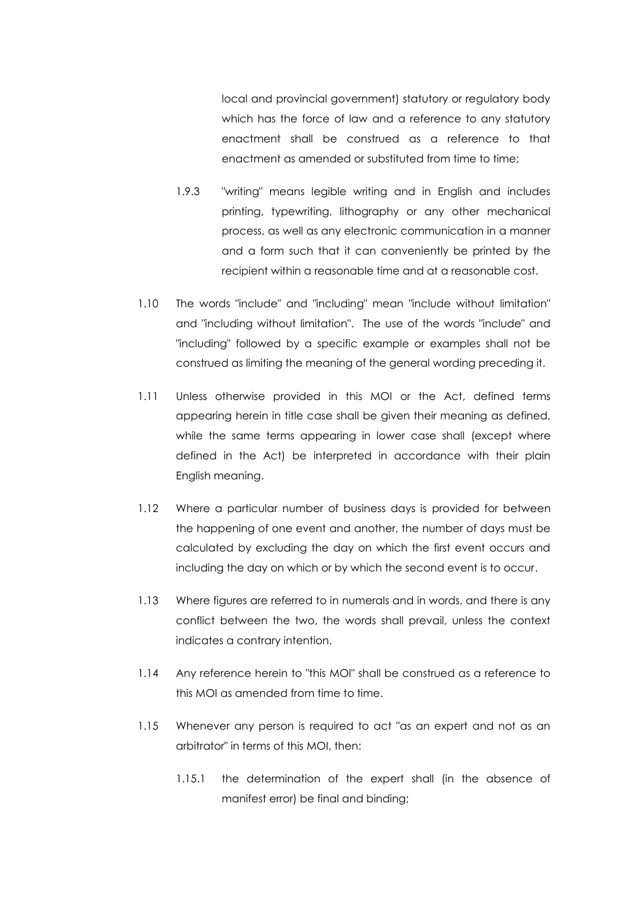local and provincial government) statutory or regulatory body which has the force of law and a reference to any statutory enactment shall be construed as a reference to that enactment as amended or substituted from time to time;

- 1.9.3 "writing" means legible writing and in English and includes printing, typewriting, lithography or any other mechanical process, as well as any electronic communication in a manner and a form such that it can conveniently be printed by the recipient within a reasonable time and at a reasonable cost.
- 1.10 The words "include" and "including" mean "include without limitation" and "including without limitation". The use of the words "include" and "including" followed by a specific example or examples shall not be construed as limiting the meaning of the general wording preceding it.
- 1.11 Unless otherwise provided in this MOI or the Act, defined terms appearing herein in title case shall be given their meaning as defined, while the same terms appearing in lower case shall (except where defined in the Act) be interpreted in accordance with their plain English meaning.
- 1.12 Where a particular number of business days is provided for between the happening of one event and another, the number of days must be calculated by excluding the day on which the first event occurs and including the day on which or by which the second event is to occur.
- 1.13 Where figures are referred to in numerals and in words, and there is any conflict between the two, the words shall prevail, unless the context indicates a contrary intention.
- 1.14 Any reference herein to "this MOI" shall be construed as a reference to this MOI as amended from time to time.
- 1.15 Whenever any person is required to act "as an expert and not as an arbitrator" in terms of this MOI, then:
	- 1.15.1 the determination of the expert shall (in the absence of manifest error) be final and binding;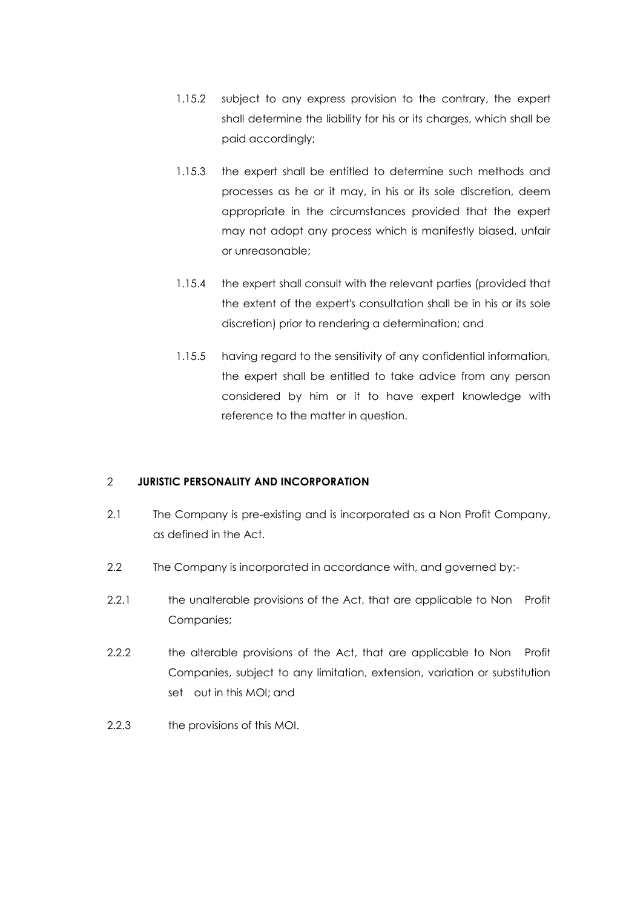- 1.15.2 subject to any express provision to the contrary, the expert shall determine the liability for his or its charges, which shall be paid accordingly;
- 1.15.3 the expert shall be entitled to determine such methods and processes as he or it may, in his or its sole discretion, deem appropriate in the circumstances provided that the expert may not adopt any process which is manifestly biased, unfair or unreasonable;
- 1.15.4 the expert shall consult with the relevant parties (provided that the extent of the expert's consultation shall be in his or its sole discretion) prior to rendering a determination; and
- 1.15.5 having regard to the sensitivity of any confidential information, the expert shall be entitled to take advice from any person considered by him or it to have expert knowledge with reference to the matter in question.

# 2 **JURISTIC PERSONALITY AND INCORPORATION**

- 2.1 The Company is pre-existing and is incorporated as a Non Profit Company, as defined in the Act.
- 2.2 The Company is incorporated in accordance with, and governed by:-
- 2.2.1 the unalterable provisions of the Act, that are applicable to Non Profit Companies;
- 2.2.2 the alterable provisions of the Act, that are applicable to Non Profit Companies, subject to any limitation, extension, variation or substitution set out in this MOI; and
- 2.2.3 the provisions of this MOI.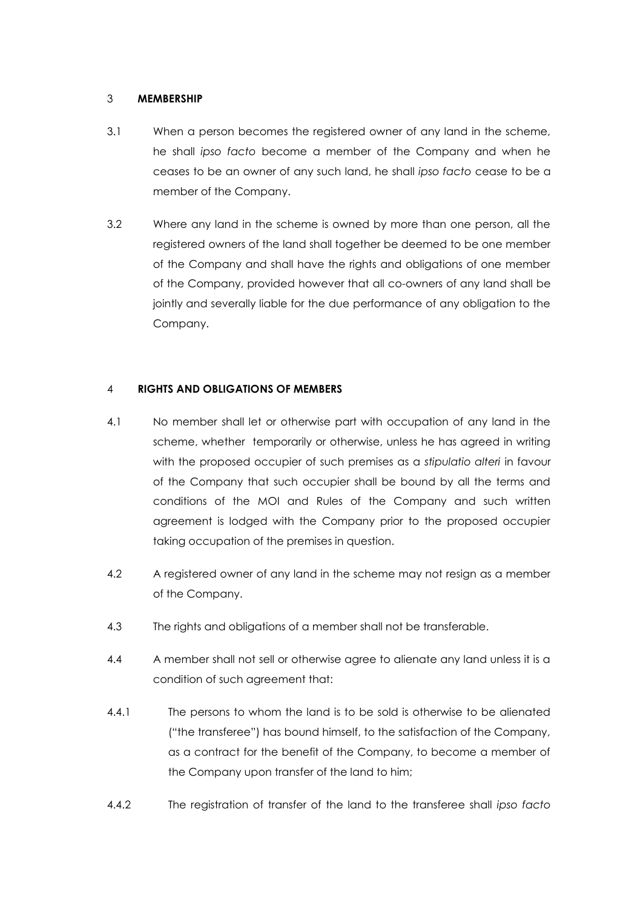#### 3 **MEMBERSHIP**

- 3.1 When a person becomes the registered owner of any land in the scheme, he shall *ipso facto* become a member of the Company and when he ceases to be an owner of any such land, he shall *ipso facto* cease to be a member of the Company.
- 3.2 Where any land in the scheme is owned by more than one person, all the registered owners of the land shall together be deemed to be one member of the Company and shall have the rights and obligations of one member of the Company, provided however that all co-owners of any land shall be jointly and severally liable for the due performance of any obligation to the Company.

## 4 **RIGHTS AND OBLIGATIONS OF MEMBERS**

- 4.1 No member shall let or otherwise part with occupation of any land in the scheme, whether temporarily or otherwise, unless he has agreed in writing with the proposed occupier of such premises as a *stipulatio alteri* in favour of the Company that such occupier shall be bound by all the terms and conditions of the MOI and Rules of the Company and such written agreement is lodged with the Company prior to the proposed occupier taking occupation of the premises in question.
- 4.2 A registered owner of any land in the scheme may not resign as a member of the Company.
- 4.3 The rights and obligations of a member shall not be transferable.
- 4.4 A member shall not sell or otherwise agree to alienate any land unless it is a condition of such agreement that:
- 4.4.1 The persons to whom the land is to be sold is otherwise to be alienated ("the transferee") has bound himself, to the satisfaction of the Company, as a contract for the benefit of the Company, to become a member of the Company upon transfer of the land to him;
- 4.4.2 The registration of transfer of the land to the transferee shall *ipso facto*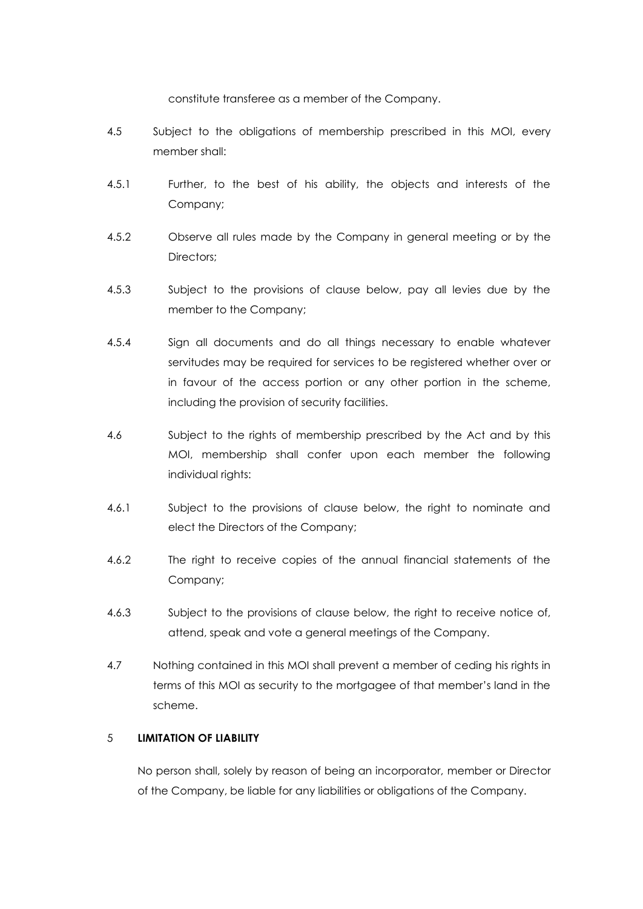constitute transferee as a member of the Company.

- 4.5 Subject to the obligations of membership prescribed in this MOI, every member shall:
- 4.5.1 Further, to the best of his ability, the objects and interests of the Company;
- 4.5.2 Observe all rules made by the Company in general meeting or by the Directors;
- 4.5.3 Subject to the provisions of clause below, pay all levies due by the member to the Company;
- 4.5.4 Sign all documents and do all things necessary to enable whatever servitudes may be required for services to be registered whether over or in favour of the access portion or any other portion in the scheme, including the provision of security facilities.
- 4.6 Subject to the rights of membership prescribed by the Act and by this MOI, membership shall confer upon each member the following individual rights:
- 4.6.1 Subject to the provisions of clause below, the right to nominate and elect the Directors of the Company;
- 4.6.2 The right to receive copies of the annual financial statements of the Company;
- 4.6.3 Subject to the provisions of clause below, the right to receive notice of, attend, speak and vote a general meetings of the Company.
- 4.7 Nothing contained in this MOI shall prevent a member of ceding his rights in terms of this MOI as security to the mortgagee of that member's land in the scheme.

## 5 **LIMITATION OF LIABILITY**

No person shall, solely by reason of being an incorporator, member or Director of the Company, be liable for any liabilities or obligations of the Company.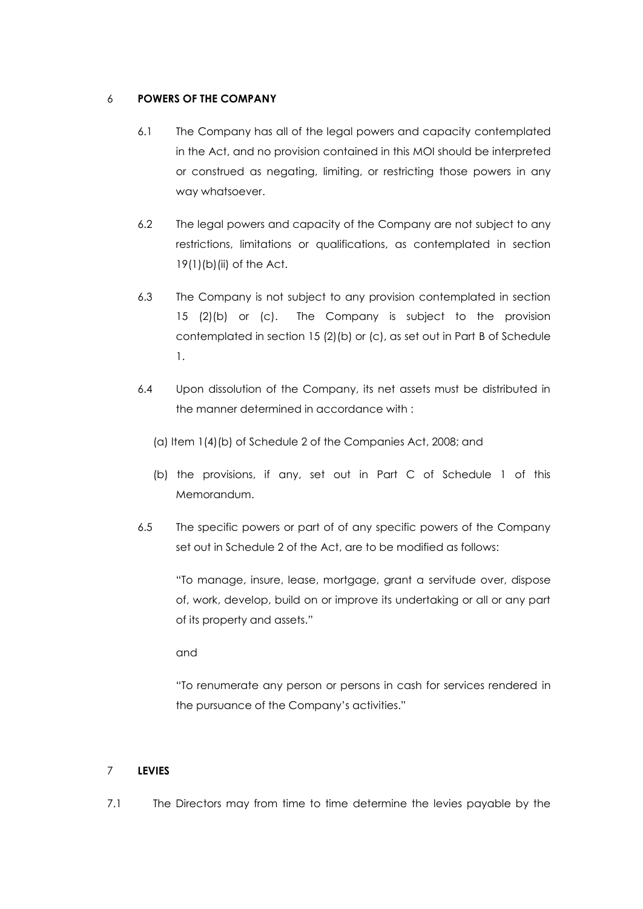## 6 **POWERS OF THE COMPANY**

- 6.1 The Company has all of the legal powers and capacity contemplated in the Act, and no provision contained in this MOI should be interpreted or construed as negating, limiting, or restricting those powers in any way whatsoever.
- 6.2 The legal powers and capacity of the Company are not subject to any restrictions, limitations or qualifications, as contemplated in section 19(1)(b)(ii) of the Act.
- 6.3 The Company is not subject to any provision contemplated in section 15 (2)(b) or (c). The Company is subject to the provision contemplated in section 15 (2)(b) or (c), as set out in Part B of Schedule 1.
- 6.4 Upon dissolution of the Company, its net assets must be distributed in the manner determined in accordance with :
	- (a) Item 1(4)(b) of Schedule 2 of the Companies Act, 2008; and
	- (b) the provisions, if any, set out in Part C of Schedule 1 of this Memorandum.
- 6.5 The specific powers or part of of any specific powers of the Company set out in Schedule 2 of the Act, are to be modified as follows:

"To manage, insure, lease, mortgage, grant a servitude over, dispose of, work, develop, build on or improve its undertaking or all or any part of its property and assets."

and

"To renumerate any person or persons in cash for services rendered in the pursuance of the Company's activities."

# <span id="page-9-1"></span>7 **LEVIES**

<span id="page-9-0"></span>7.1 The Directors may from time to time determine the levies payable by the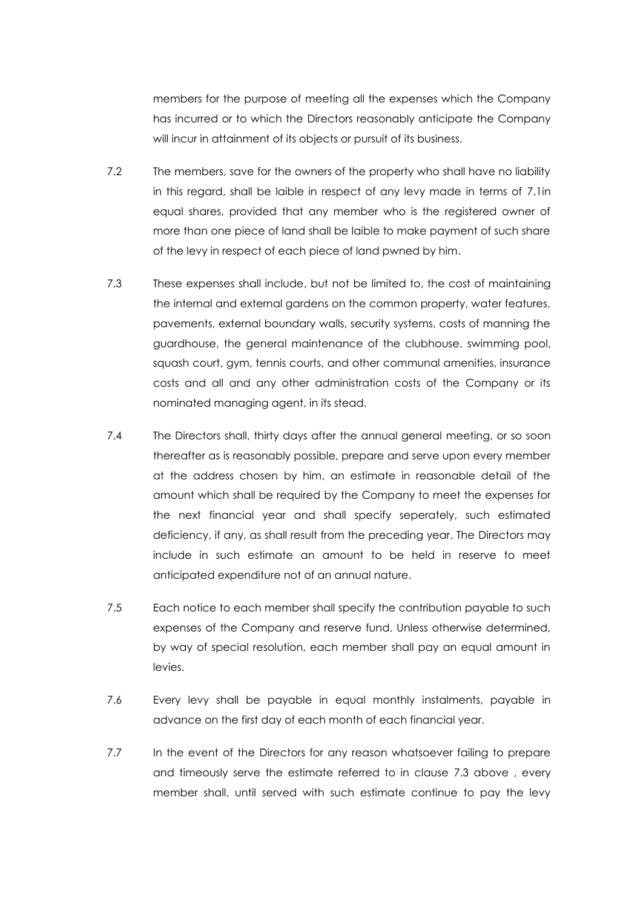members for the purpose of meeting all the expenses which the Company has incurred or to which the Directors reasonably anticipate the Company will incur in attainment of its objects or pursuit of its business.

- 7.2 The members, save for the owners of the property who shall have no liability in this regard, shall be laible in respect of any levy made in terms of [7.1in](#page-9-0) equal shares, provided that any member who is the registered owner of more than one piece of land shall be laible to make payment of such share of the levy in respect of each piece of land pwned by him.
- 7.3 These expenses shall include, but not be limited to, the cost of maintaining the internal and external gardens on the common property, water features, pavements, external boundary walls, security systems, costs of manning the guardhouse, the general maintenance of the clubhouse, swimming pool, squash court, gym, tennis courts, and other communal amenities, insurance costs and all and any other administration costs of the Company or its nominated managing agent, in its stead.
- 7.4 The Directors shall, thirty days after the annual general meeting, or so soon thereafter as is reasonably possible, prepare and serve upon every member at the address chosen by him, an estimate in reasonable detail of the amount which shall be required by the Company to meet the expenses for the next financial year and shall specify seperately, such estimated deficiency, if any, as shall result from the preceding year. The Directors may include in such estimate an amount to be held in reserve to meet anticipated expenditure not of an annual nature.
- 7.5 Each notice to each member shall specify the contribution payable to such expenses of the Company and reserve fund. Unless otherwise determined, by way of special resolution, each member shall pay an equal amount in levies.
- 7.6 Every levy shall be payable in equal monthly instalments, payable in advance on the first day of each month of each financial year.
- 7.7 In the event of the Directors for any reason whatsoever failing to prepare and timeously serve the estimate referred to in clause 7.3 above , every member shall, until served with such estimate continue to pay the levy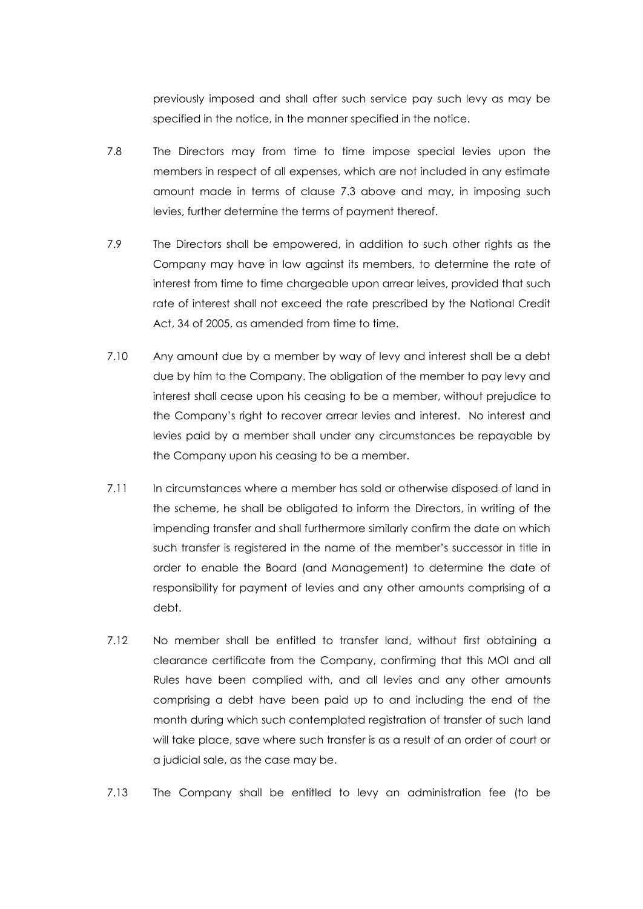previously imposed and shall after such service pay such levy as may be specified in the notice, in the manner specified in the notice.

- 7.8 The Directors may from time to time impose special levies upon the members in respect of all expenses, which are not included in any estimate amount made in terms of clause 7.3 above and may, in imposing such levies, further determine the terms of payment thereof.
- 7.9 The Directors shall be empowered, in addition to such other rights as the Company may have in law against its members, to determine the rate of interest from time to time chargeable upon arrear leives, provided that such rate of interest shall not exceed the rate prescribed by the National Credit Act, 34 of 2005, as amended from time to time.
- 7.10 Any amount due by a member by way of levy and interest shall be a debt due by him to the Company. The obligation of the member to pay levy and interest shall cease upon his ceasing to be a member, without prejudice to the Company's right to recover arrear levies and interest. No interest and levies paid by a member shall under any circumstances be repayable by the Company upon his ceasing to be a member.
- 7.11 In circumstances where a member has sold or otherwise disposed of land in the scheme, he shall be obligated to inform the Directors, in writing of the impending transfer and shall furthermore similarly confirm the date on which such transfer is registered in the name of the member's successor in title in order to enable the Board (and Management) to determine the date of responsibility for payment of levies and any other amounts comprising of a debt.
- 7.12 No member shall be entitled to transfer land, without first obtaining a clearance certificate from the Company, confirming that this MOI and all Rules have been complied with, and all levies and any other amounts comprising a debt have been paid up to and including the end of the month during which such contemplated registration of transfer of such land will take place, save where such transfer is as a result of an order of court or a judicial sale, as the case may be.
- 7.13 The Company shall be entitled to levy an administration fee (to be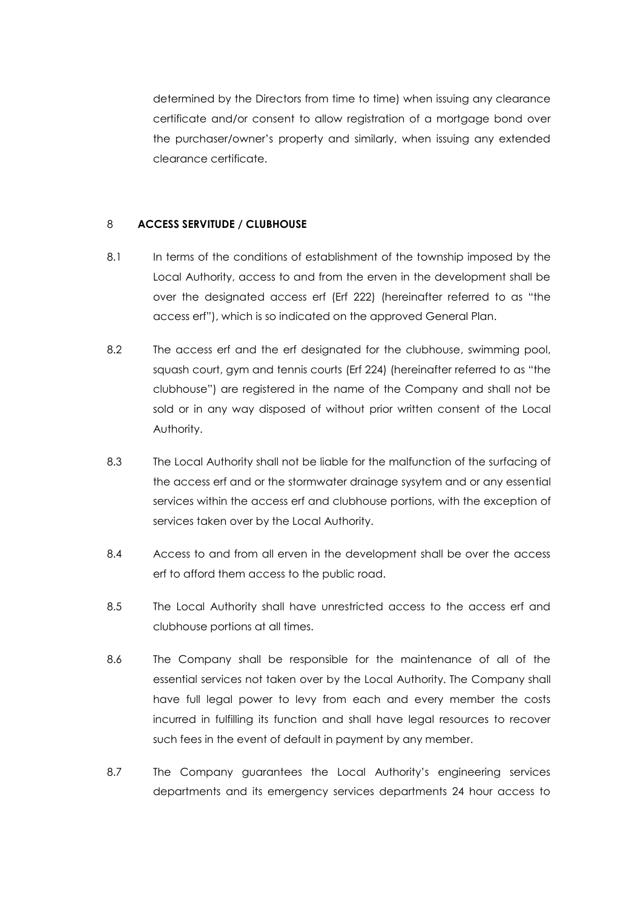determined by the Directors from time to time) when issuing any clearance certificate and/or consent to allow registration of a mortgage bond over the purchaser/owner's property and similarly, when issuing any extended clearance certificate.

## 8 **ACCESS SERVITUDE / CLUBHOUSE**

- 8.1 In terms of the conditions of establishment of the township imposed by the Local Authority, access to and from the erven in the development shall be over the designated access erf (Erf 222) (hereinafter referred to as "the access erf"), which is so indicated on the approved General Plan.
- 8.2 The access erf and the erf designated for the clubhouse, swimming pool, squash court, gym and tennis courts (Erf 224) (hereinafter referred to as "the clubhouse") are registered in the name of the Company and shall not be sold or in any way disposed of without prior written consent of the Local Authority.
- 8.3 The Local Authority shall not be liable for the malfunction of the surfacing of the access erf and or the stormwater drainage sysytem and or any essential services within the access erf and clubhouse portions, with the exception of services taken over by the Local Authority.
- 8.4 Access to and from all erven in the development shall be over the access erf to afford them access to the public road.
- 8.5 The Local Authority shall have unrestricted access to the access erf and clubhouse portions at all times.
- 8.6 The Company shall be responsible for the maintenance of all of the essential services not taken over by the Local Authority. The Company shall have full legal power to levy from each and every member the costs incurred in fulfilling its function and shall have legal resources to recover such fees in the event of default in payment by any member.
- 8.7 The Company guarantees the Local Authority's engineering services departments and its emergency services departments 24 hour access to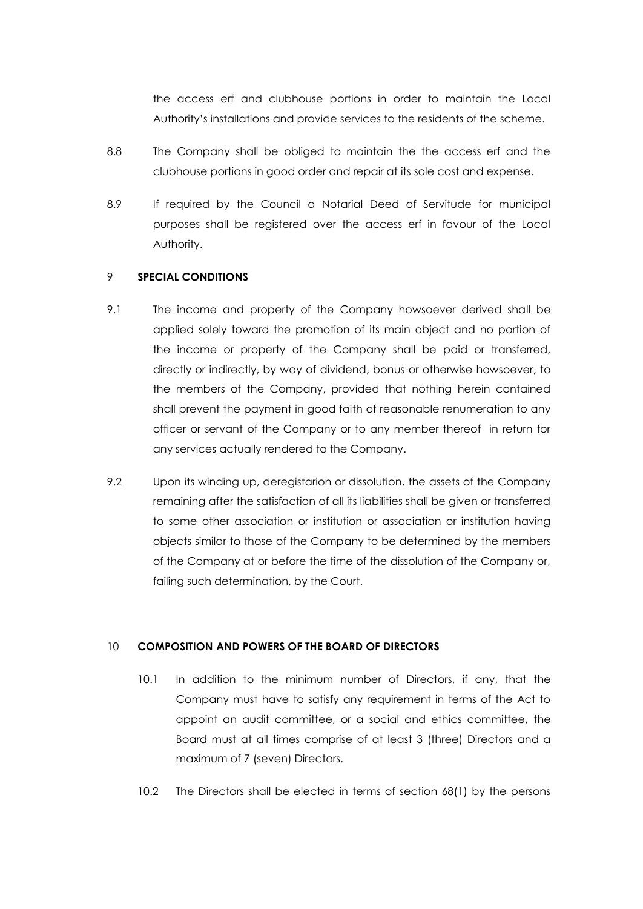the access erf and clubhouse portions in order to maintain the Local Authority's installations and provide services to the residents of the scheme.

- 8.8 The Company shall be obliged to maintain the the access erf and the clubhouse portions in good order and repair at its sole cost and expense.
- 8.9 If required by the Council a Notarial Deed of Servitude for municipal purposes shall be registered over the access erf in favour of the Local Authority.

### 9 **SPECIAL CONDITIONS**

- 9.1 The income and property of the Company howsoever derived shall be applied solely toward the promotion of its main object and no portion of the income or property of the Company shall be paid or transferred, directly or indirectly, by way of dividend, bonus or otherwise howsoever, to the members of the Company, provided that nothing herein contained shall prevent the payment in good faith of reasonable renumeration to any officer or servant of the Company or to any member thereof in return for any services actually rendered to the Company.
- 9.2 Upon its winding up, deregistarion or dissolution, the assets of the Company remaining after the satisfaction of all its liabilities shall be given or transferred to some other association or institution or association or institution having objects similar to those of the Company to be determined by the members of the Company at or before the time of the dissolution of the Company or, failing such determination, by the Court.

#### 10 **COMPOSITION AND POWERS OF THE BOARD OF DIRECTORS**

- 10.1 In addition to the minimum number of Directors, if any, that the Company must have to satisfy any requirement in terms of the Act to appoint an audit committee, or a social and ethics committee, the Board must at all times comprise of at least 3 (three) Directors and a maximum of 7 (seven) Directors.
- 10.2 The Directors shall be elected in terms of section 68(1) by the persons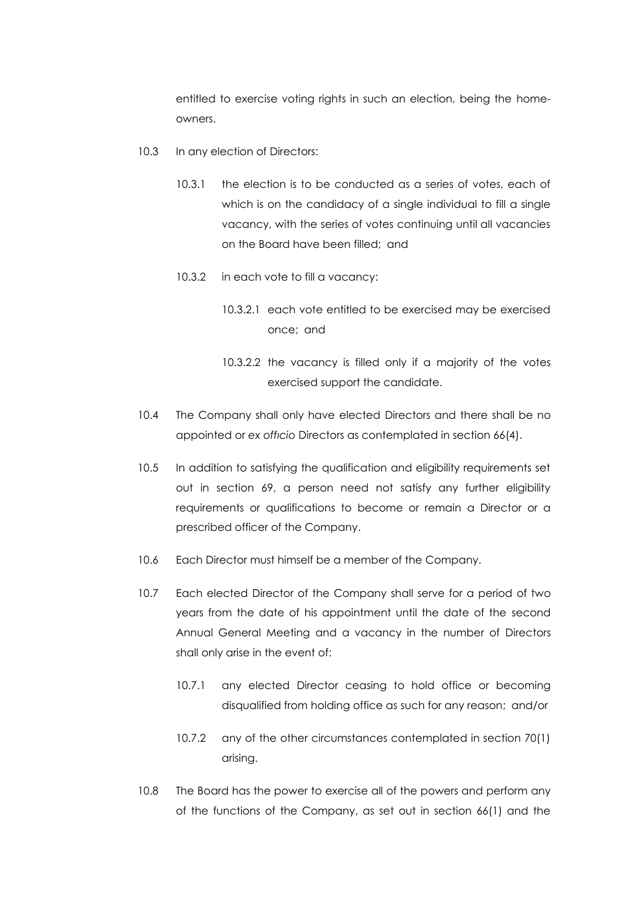entitled to exercise voting rights in such an election, being the homeowners.

- 10.3 In any election of Directors:
	- 10.3.1 the election is to be conducted as a series of votes, each of which is on the candidacy of a single individual to fill a single vacancy, with the series of votes continuing until all vacancies on the Board have been filled; and
	- 10.3.2 in each vote to fill a vacancy:
		- 10.3.2.1 each vote entitled to be exercised may be exercised once; and
		- 10.3.2.2 the vacancy is filled only if a majority of the votes exercised support the candidate.
- 10.4 The Company shall only have elected Directors and there shall be no appointed or *ex offıcio* Directors as contemplated in section 66(4).
- 10.5 In addition to satisfying the qualification and eligibility requirements set out in section 69, a person need not satisfy any further eligibility requirements or qualifications to become or remain a Director or a prescribed officer of the Company.
- 10.6 Each Director must himself be a member of the Company.
- 10.7 Each elected Director of the Company shall serve for a period of two years from the date of his appointment until the date of the second Annual General Meeting and a vacancy in the number of Directors shall only arise in the event of:
	- 10.7.1 any elected Director ceasing to hold office or becoming disqualified from holding office as such for any reason; and/or
	- 10.7.2 any of the other circumstances contemplated in section 70(1) arising.
- 10.8 The Board has the power to exercise all of the powers and perform any of the functions of the Company, as set out in section 66(1) and the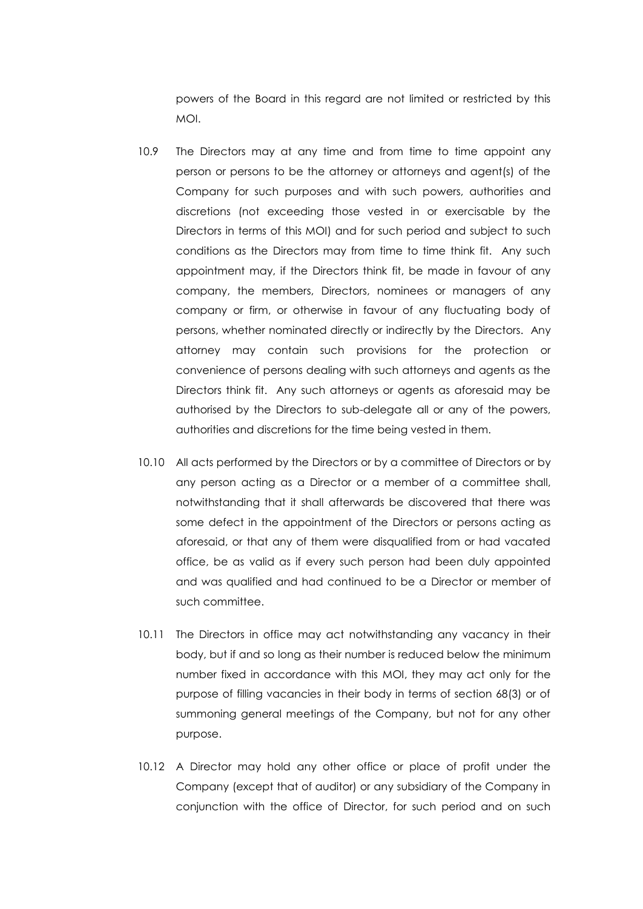powers of the Board in this regard are not limited or restricted by this MOI.

- 10.9 The Directors may at any time and from time to time appoint any person or persons to be the attorney or attorneys and agent(s) of the Company for such purposes and with such powers, authorities and discretions (not exceeding those vested in or exercisable by the Directors in terms of this MOI) and for such period and subject to such conditions as the Directors may from time to time think fit. Any such appointment may, if the Directors think fit, be made in favour of any company, the members, Directors, nominees or managers of any company or firm, or otherwise in favour of any fluctuating body of persons, whether nominated directly or indirectly by the Directors. Any attorney may contain such provisions for the protection or convenience of persons dealing with such attorneys and agents as the Directors think fit. Any such attorneys or agents as aforesaid may be authorised by the Directors to sub-delegate all or any of the powers, authorities and discretions for the time being vested in them.
- 10.10 All acts performed by the Directors or by a committee of Directors or by any person acting as a Director or a member of a committee shall, notwithstanding that it shall afterwards be discovered that there was some defect in the appointment of the Directors or persons acting as aforesaid, or that any of them were disqualified from or had vacated office, be as valid as if every such person had been duly appointed and was qualified and had continued to be a Director or member of such committee.
- 10.11 The Directors in office may act notwithstanding any vacancy in their body, but if and so long as their number is reduced below the minimum number fixed in accordance with this MOI, they may act only for the purpose of filling vacancies in their body in terms of section 68(3) or of summoning general meetings of the Company, but not for any other purpose.
- 10.12 A Director may hold any other office or place of profit under the Company (except that of auditor) or any subsidiary of the Company in conjunction with the office of Director, for such period and on such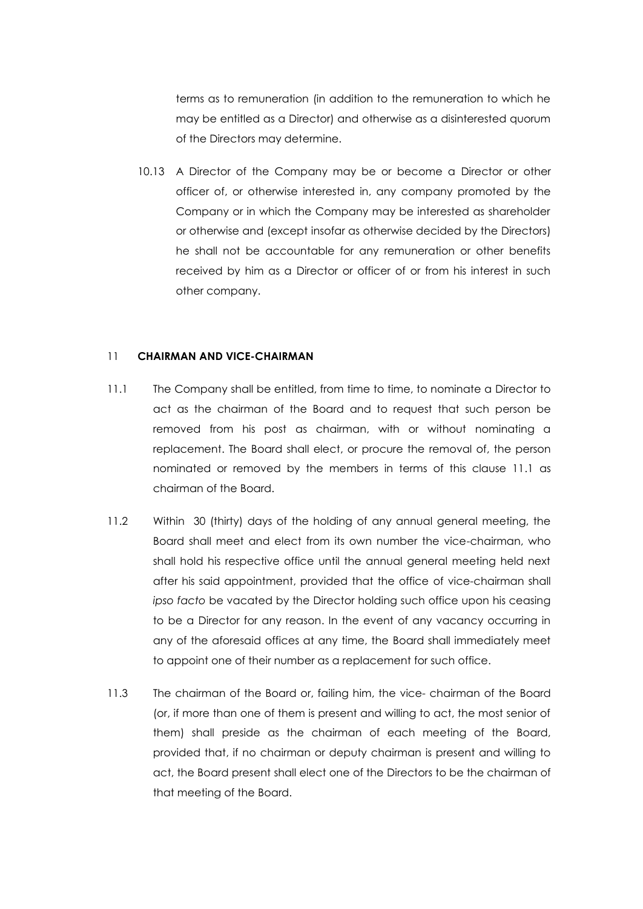terms as to remuneration (in addition to the remuneration to which he may be entitled as a Director) and otherwise as a disinterested quorum of the Directors may determine.

10.13 A Director of the Company may be or become a Director or other officer of, or otherwise interested in, any company promoted by the Company or in which the Company may be interested as shareholder or otherwise and (except insofar as otherwise decided by the Directors) he shall not be accountable for any remuneration or other benefits received by him as a Director or officer of or from his interest in such other company.

### 11 **CHAIRMAN AND VICE-CHAIRMAN**

- 11.1 The Company shall be entitled, from time to time, to nominate a Director to act as the chairman of the Board and to request that such person be removed from his post as chairman, with or without nominating a replacement. The Board shall elect, or procure the removal of, the person nominated or removed by the members in terms of this clause 11.1 as chairman of the Board.
- 11.2 Within 30 (thirty) days of the holding of any annual general meeting, the Board shall meet and elect from its own number the vice-chairman, who shall hold his respective office until the annual general meeting held next after his said appointment, provided that the office of vice-chairman shall *ipso facto* be vacated by the Director holding such office upon his ceasing to be a Director for any reason. In the event of any vacancy occurring in any of the aforesaid offices at any time, the Board shall immediately meet to appoint one of their number as a replacement for such office.
- 11.3 The chairman of the Board or, failing him, the vice- chairman of the Board (or, if more than one of them is present and willing to act, the most senior of them) shall preside as the chairman of each meeting of the Board, provided that, if no chairman or deputy chairman is present and willing to act, the Board present shall elect one of the Directors to be the chairman of that meeting of the Board.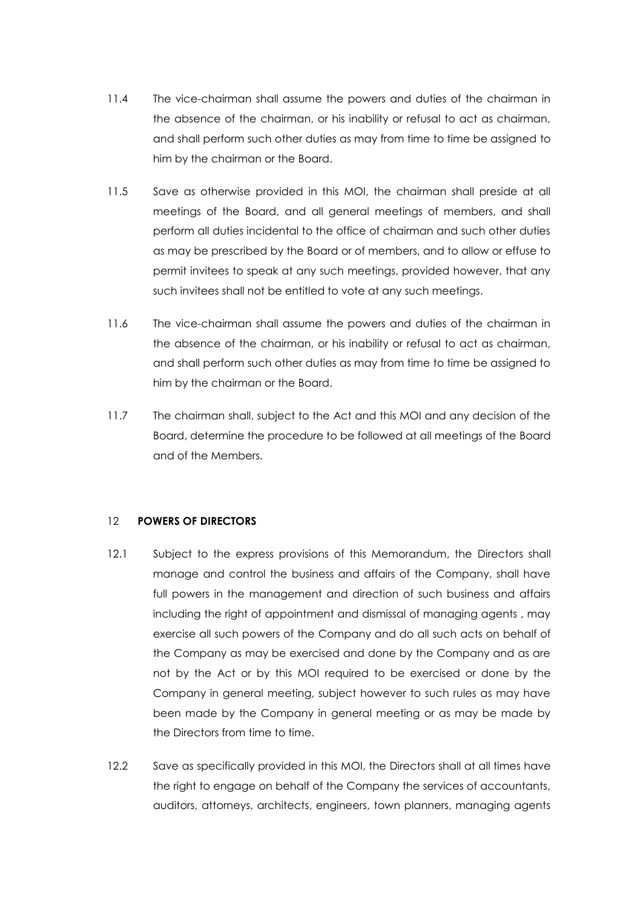- 11.4 The vice-chairman shall assume the powers and duties of the chairman in the absence of the chairman, or his inability or refusal to act as chairman, and shall perform such other duties as may from time to time be assigned to him by the chairman or the Board.
- 11.5 Save as otherwise provided in this MOI, the chairman shall preside at all meetings of the Board, and all general meetings of members, and shall perform all duties incidental to the office of chairman and such other duties as may be prescribed by the Board or of members, and to allow or effuse to permit invitees to speak at any such meetings, provided however, that any such invitees shall not be entitled to vote at any such meetings.
- 11.6 The vice-chairman shall assume the powers and duties of the chairman in the absence of the chairman, or his inability or refusal to act as chairman, and shall perform such other duties as may from time to time be assigned to him by the chairman or the Board.
- 11.7 The chairman shall, subject to the Act and this MOI and any decision of the Board, determine the procedure to be followed at all meetings of the Board and of the Members.

# 12 **POWERS OF DIRECTORS**

- 12.1 Subject to the express provisions of this Memorandum, the Directors shall manage and control the business and affairs of the Company, shall have full powers in the management and direction of such business and affairs including the right of appointment and dismissal of managing agents , may exercise all such powers of the Company and do all such acts on behalf of the Company as may be exercised and done by the Company and as are not by the Act or by this MOI required to be exercised or done by the Company in general meeting, subject however to such rules as may have been made by the Company in general meeting or as may be made by the Directors from time to time.
- 12.2 Save as specifically provided in this MOI, the Directors shall at all times have the right to engage on behalf of the Company the services of accountants, auditors, attorneys, architects, engineers, town planners, managing agents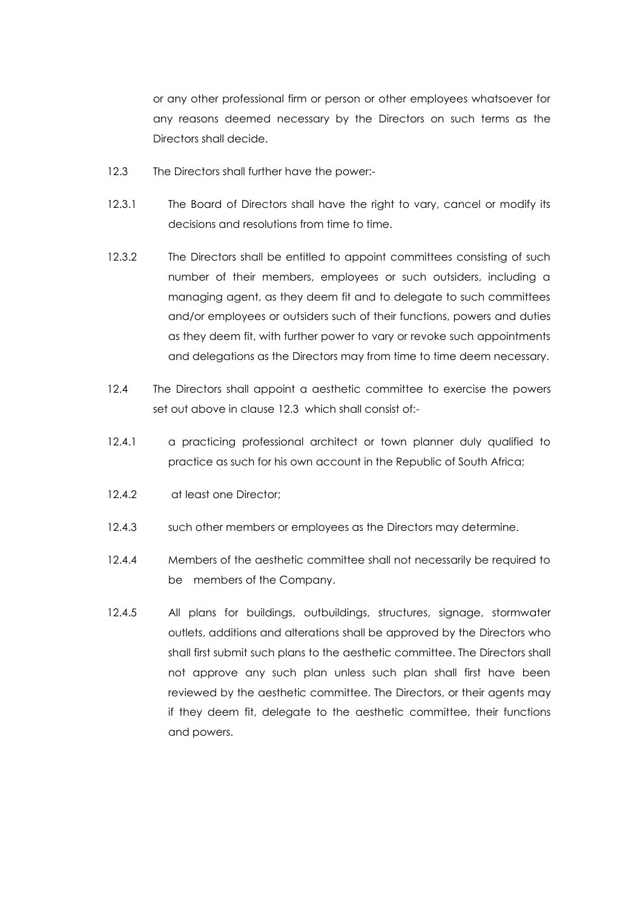or any other professional firm or person or other employees whatsoever for any reasons deemed necessary by the Directors on such terms as the Directors shall decide.

- 12.3 The Directors shall further have the power:-
- 12.3.1 The Board of Directors shall have the right to vary, cancel or modify its decisions and resolutions from time to time.
- 12.3.2 The Directors shall be entitled to appoint committees consisting of such number of their members, employees or such outsiders, including a managing agent, as they deem fit and to delegate to such committees and/or employees or outsiders such of their functions, powers and duties as they deem fit, with further power to vary or revoke such appointments and delegations as the Directors may from time to time deem necessary.
- 12.4 The Directors shall appoint a aesthetic committee to exercise the powers set out above in clause 12.3 which shall consist of:-
- 12.4.1 a practicing professional architect or town planner duly qualified to practice as such for his own account in the Republic of South Africa;
- 12.4.2 at least one Director;
- 12.4.3 such other members or employees as the Directors may determine.
- 12.4.4 Members of the aesthetic committee shall not necessarily be required to be members of the Company.
- 12.4.5 All plans for buildings, outbuildings, structures, signage, stormwater outlets, additions and alterations shall be approved by the Directors who shall first submit such plans to the aesthetic committee. The Directors shall not approve any such plan unless such plan shall first have been reviewed by the aesthetic committee. The Directors, or their agents may if they deem fit, delegate to the aesthetic committee, their functions and powers.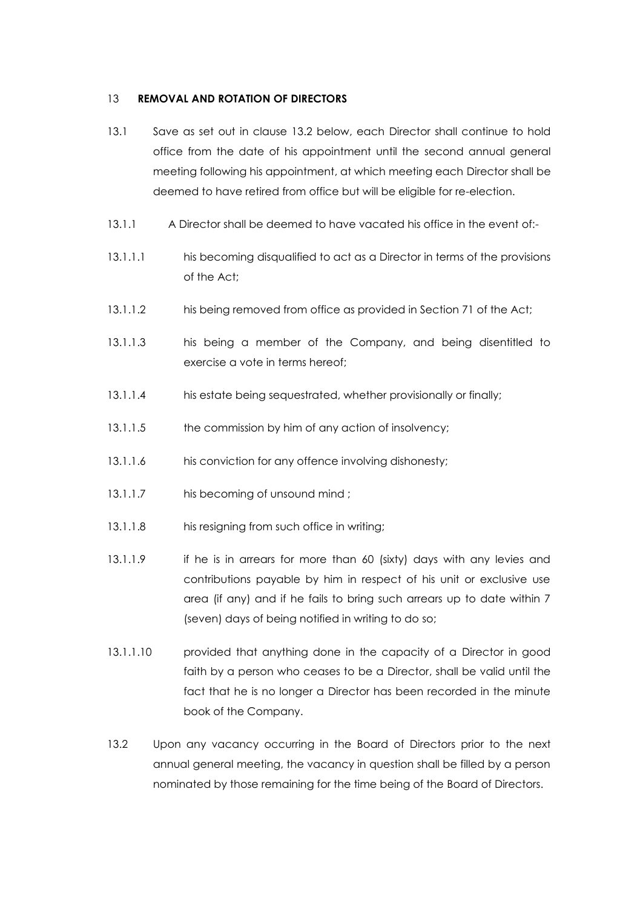### 13 **REMOVAL AND ROTATION OF DIRECTORS**

- 13.1 Save as set out in clause 13.2 below, each Director shall continue to hold office from the date of his appointment until the second annual general meeting following his appointment, at which meeting each Director shall be deemed to have retired from office but will be eligible for re-election.
- 13.1.1 A Director shall be deemed to have vacated his office in the event of:-
- 13.1.1.1 his becoming disqualified to act as a Director in terms of the provisions of the Act;
- 13.1.1.2 his being removed from office as provided in Section 71 of the Act;
- 13.1.1.3 his being a member of the Company, and being disentitled to exercise a vote in terms hereof;
- 13.1.1.4 his estate being sequestrated, whether provisionally or finally;
- 13.1.1.5 the commission by him of any action of insolvency;
- 13.1.1.6 his conviction for any offence involving dishonesty;
- 13.1.1.7 his becoming of unsound mind ;
- 13.1.1.8 his resigning from such office in writing;
- 13.1.1.9 if he is in arrears for more than 60 (sixty) days with any levies and contributions payable by him in respect of his unit or exclusive use area (if any) and if he fails to bring such arrears up to date within 7 (seven) days of being notified in writing to do so;
- 13.1.1.10 provided that anything done in the capacity of a Director in good faith by a person who ceases to be a Director, shall be valid until the fact that he is no longer a Director has been recorded in the minute book of the Company.
- 13.2 Upon any vacancy occurring in the Board of Directors prior to the next annual general meeting, the vacancy in question shall be filled by a person nominated by those remaining for the time being of the Board of Directors.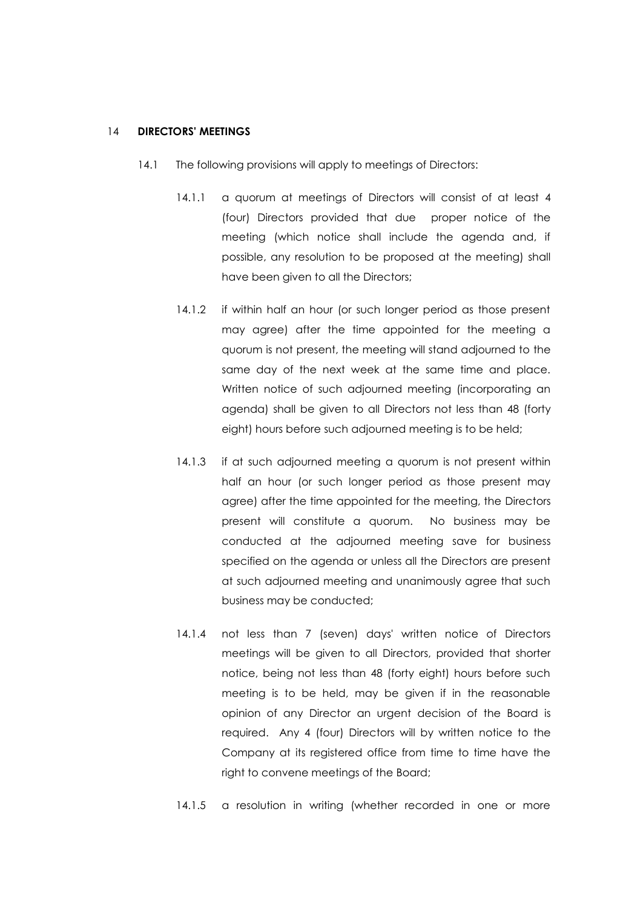### 14 **DIRECTORS' MEETINGS**

- 14.1 The following provisions will apply to meetings of Directors:
	- 14.1.1 a quorum at meetings of Directors will consist of at least 4 (four) Directors provided that due proper notice of the meeting (which notice shall include the agenda and, if possible, any resolution to be proposed at the meeting) shall have been given to all the Directors;
	- 14.1.2 if within half an hour (or such longer period as those present may agree) after the time appointed for the meeting a quorum is not present, the meeting will stand adjourned to the same day of the next week at the same time and place. Written notice of such adjourned meeting (incorporating an agenda) shall be given to all Directors not less than 48 (forty eight) hours before such adjourned meeting is to be held;
	- 14.1.3 if at such adjourned meeting a quorum is not present within half an hour (or such longer period as those present may agree) after the time appointed for the meeting, the Directors present will constitute a quorum. No business may be conducted at the adjourned meeting save for business specified on the agenda or unless all the Directors are present at such adjourned meeting and unanimously agree that such business may be conducted;
	- 14.1.4 not less than 7 (seven) days' written notice of Directors meetings will be given to all Directors, provided that shorter notice, being not less than 48 (forty eight) hours before such meeting is to be held, may be given if in the reasonable opinion of any Director an urgent decision of the Board is required. Any 4 (four) Directors will by written notice to the Company at its registered office from time to time have the right to convene meetings of the Board;
	- 14.1.5 a resolution in writing (whether recorded in one or more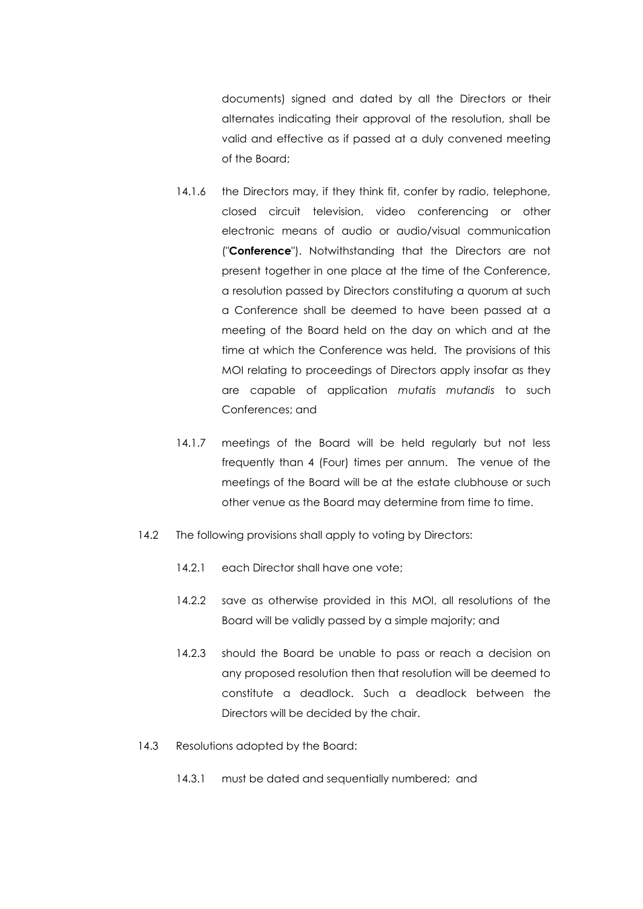documents) signed and dated by all the Directors or their alternates indicating their approval of the resolution, shall be valid and effective as if passed at a duly convened meeting of the Board;

- 14.1.6 the Directors may, if they think fit, confer by radio, telephone, closed circuit television, video conferencing or other electronic means of audio or audio/visual communication ("**Conference**"). Notwithstanding that the Directors are not present together in one place at the time of the Conference, a resolution passed by Directors constituting a quorum at such a Conference shall be deemed to have been passed at a meeting of the Board held on the day on which and at the time at which the Conference was held. The provisions of this MOI relating to proceedings of Directors apply insofar as they are capable of application *mutatis mutandis* to such Conferences; and
- 14.1.7 meetings of the Board will be held regularly but not less frequently than 4 (Four) times per annum. The venue of the meetings of the Board will be at the estate clubhouse or such other venue as the Board may determine from time to time.
- 14.2 The following provisions shall apply to voting by Directors:
	- 14.2.1 each Director shall have one vote;
	- 14.2.2 save as otherwise provided in this MOI, all resolutions of the Board will be validly passed by a simple majority; and
	- 14.2.3 should the Board be unable to pass or reach a decision on any proposed resolution then that resolution will be deemed to constitute a deadlock. Such a deadlock between the Directors will be decided by the chair.
- 14.3 Resolutions adopted by the Board:
	- 14.3.1 must be dated and sequentially numbered; and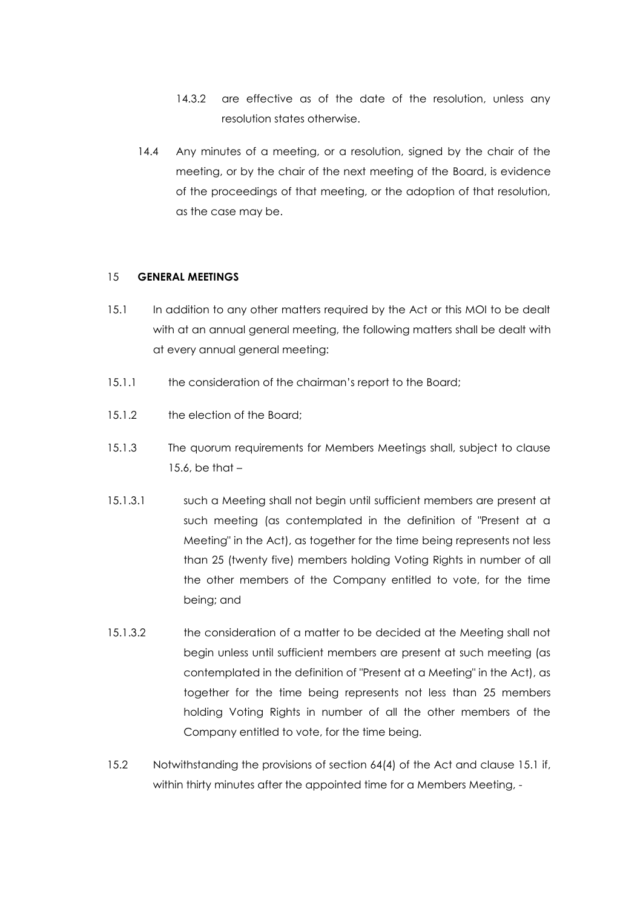- 14.3.2 are effective as of the date of the resolution, unless any resolution states otherwise.
- 14.4 Any minutes of a meeting, or a resolution, signed by the chair of the meeting, or by the chair of the next meeting of the Board, is evidence of the proceedings of that meeting, or the adoption of that resolution, as the case may be.

### 15 **GENERAL MEETINGS**

- 15.1 In addition to any other matters required by the Act or this MOI to be dealt with at an annual general meeting, the following matters shall be dealt with at every annual general meeting:
- 15.1.1 the consideration of the chairman's report to the Board;
- 15.1.2 the election of the Board:
- 15.1.3 The quorum requirements for Members Meetings shall, subject to clause  $15.6$ , be that  $-$
- 15.1.3.1 such a Meeting shall not begin until sufficient members are present at such meeting (as contemplated in the definition of "Present at a Meeting" in the Act), as together for the time being represents not less than 25 (twenty five) members holding Voting Rights in number of all the other members of the Company entitled to vote, for the time being; and
- 15.1.3.2 the consideration of a matter to be decided at the Meeting shall not begin unless until sufficient members are present at such meeting (as contemplated in the definition of "Present at a Meeting" in the Act), as together for the time being represents not less than 25 members holding Voting Rights in number of all the other members of the Company entitled to vote, for the time being.
- 15.2 Notwithstanding the provisions of section 64(4) of the Act and clause 15.1 if, within thirty minutes after the appointed time for a Members Meeting, -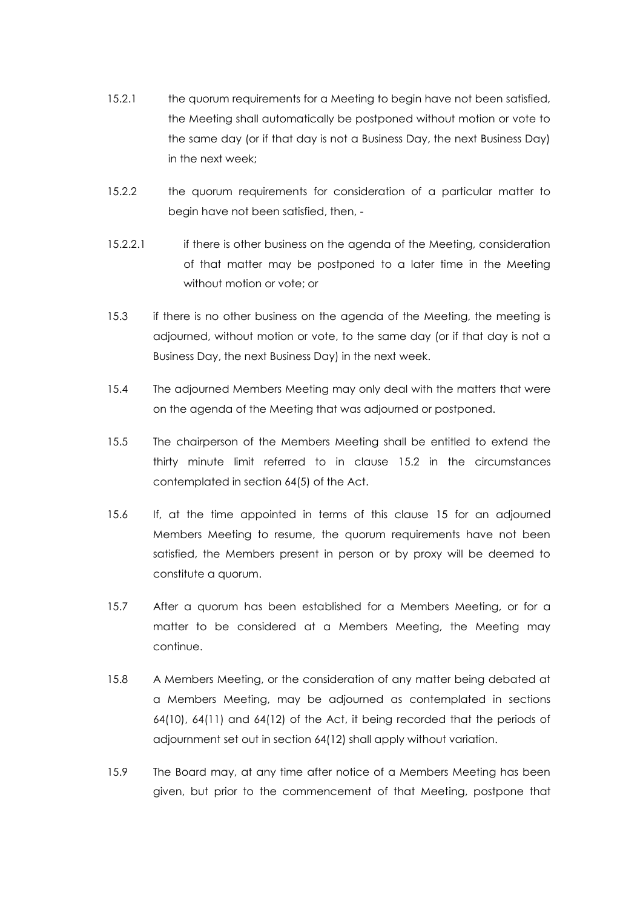- 15.2.1 the quorum requirements for a Meeting to begin have not been satisfied, the Meeting shall automatically be postponed without motion or vote to the same day (or if that day is not a Business Day, the next Business Day) in the next week;
- 15.2.2 the quorum requirements for consideration of a particular matter to begin have not been satisfied, then, -
- 15.2.2.1 if there is other business on the agenda of the Meeting, consideration of that matter may be postponed to a later time in the Meeting without motion or vote; or
- 15.3 if there is no other business on the agenda of the Meeting, the meeting is adjourned, without motion or vote, to the same day (or if that day is not a Business Day, the next Business Day) in the next week.
- 15.4 The adjourned Members Meeting may only deal with the matters that were on the agenda of the Meeting that was adjourned or postponed.
- 15.5 The chairperson of the Members Meeting shall be entitled to extend the thirty minute limit referred to in clause 15.2 in the circumstances contemplated in section 64(5) of the Act.
- 15.6 If, at the time appointed in terms of this clause 15 for an adjourned Members Meeting to resume, the quorum requirements have not been satisfied, the Members present in person or by proxy will be deemed to constitute a quorum.
- 15.7 After a quorum has been established for a Members Meeting, or for a matter to be considered at a Members Meeting, the Meeting may continue.
- 15.8 A Members Meeting, or the consideration of any matter being debated at a Members Meeting, may be adjourned as contemplated in sections 64(10), 64(11) and 64(12) of the Act, it being recorded that the periods of adjournment set out in section 64(12) shall apply without variation.
- 15.9 The Board may, at any time after notice of a Members Meeting has been given, but prior to the commencement of that Meeting, postpone that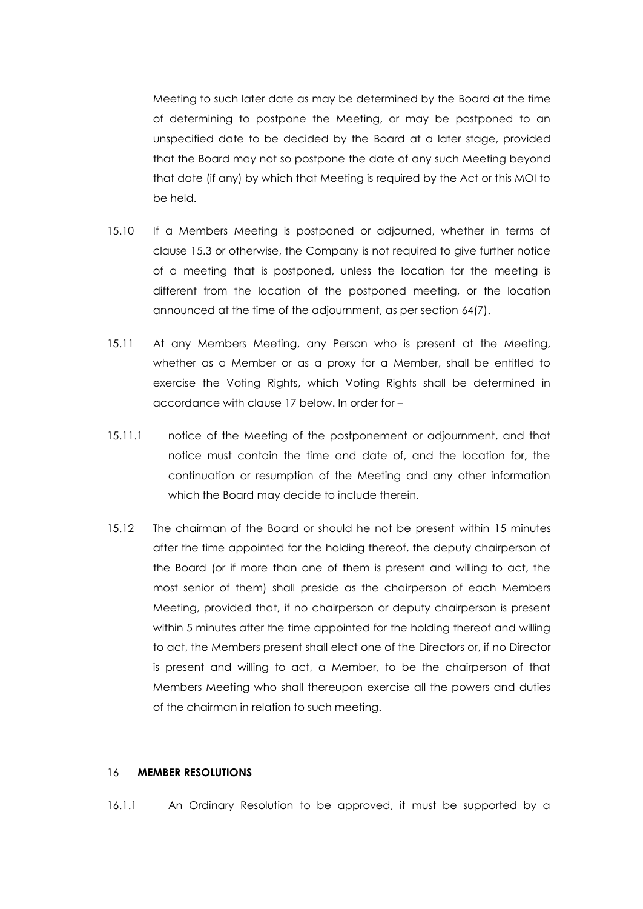Meeting to such later date as may be determined by the Board at the time of determining to postpone the Meeting, or may be postponed to an unspecified date to be decided by the Board at a later stage, provided that the Board may not so postpone the date of any such Meeting beyond that date (if any) by which that Meeting is required by the Act or this MOI to be held.

- 15.10 If a Members Meeting is postponed or adjourned, whether in terms of clause 15.3 or otherwise, the Company is not required to give further notice of a meeting that is postponed, unless the location for the meeting is different from the location of the postponed meeting, or the location announced at the time of the adjournment, as per section 64(7).
- 15.11 At any Members Meeting, any Person who is present at the Meeting, whether as a Member or as a proxy for a Member, shall be entitled to exercise the Voting Rights, which Voting Rights shall be determined in accordance with clause 17 below. In order for –
- 15.11.1 notice of the Meeting of the postponement or adjournment, and that notice must contain the time and date of, and the location for, the continuation or resumption of the Meeting and any other information which the Board may decide to include therein.
- 15.12 The chairman of the Board or should he not be present within 15 minutes after the time appointed for the holding thereof, the deputy chairperson of the Board (or if more than one of them is present and willing to act, the most senior of them) shall preside as the chairperson of each Members Meeting, provided that, if no chairperson or deputy chairperson is present within 5 minutes after the time appointed for the holding thereof and willing to act, the Members present shall elect one of the Directors or, if no Director is present and willing to act, a Member, to be the chairperson of that Members Meeting who shall thereupon exercise all the powers and duties of the chairman in relation to such meeting.

## 16 **MEMBER RESOLUTIONS**

16.1.1 An Ordinary Resolution to be approved, it must be supported by a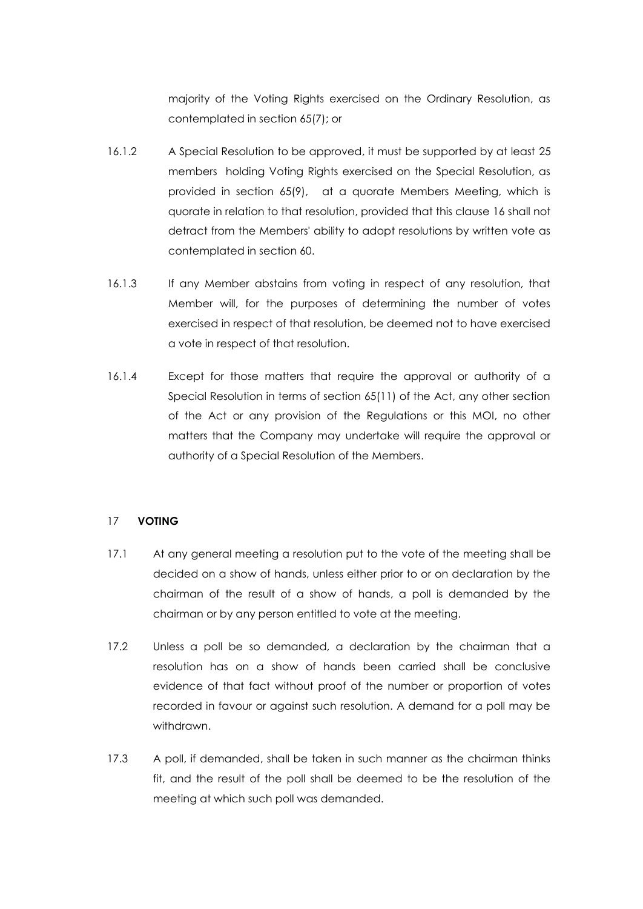majority of the Voting Rights exercised on the Ordinary Resolution, as contemplated in section 65(7); or

- 16.1.2 A Special Resolution to be approved, it must be supported by at least 25 members holding Voting Rights exercised on the Special Resolution, as provided in section 65(9), at a quorate Members Meeting, which is quorate in relation to that resolution, provided that this clause 16 shall not detract from the Members' ability to adopt resolutions by written vote as contemplated in section 60.
- 16.1.3 If any Member abstains from voting in respect of any resolution, that Member will, for the purposes of determining the number of votes exercised in respect of that resolution, be deemed not to have exercised a vote in respect of that resolution.
- 16.1.4 Except for those matters that require the approval or authority of a Special Resolution in terms of section 65(11) of the Act, any other section of the Act or any provision of the Regulations or this MOI, no other matters that the Company may undertake will require the approval or authority of a Special Resolution of the Members.

# 17 **VOTING**

- 17.1 At any general meeting a resolution put to the vote of the meeting shall be decided on a show of hands, unless either prior to or on declaration by the chairman of the result of a show of hands, a poll is demanded by the chairman or by any person entitled to vote at the meeting.
- 17.2 Unless a poll be so demanded, a declaration by the chairman that a resolution has on a show of hands been carried shall be conclusive evidence of that fact without proof of the number or proportion of votes recorded in favour or against such resolution. A demand for a poll may be withdrawn.
- 17.3 A poll, if demanded, shall be taken in such manner as the chairman thinks fit, and the result of the poll shall be deemed to be the resolution of the meeting at which such poll was demanded.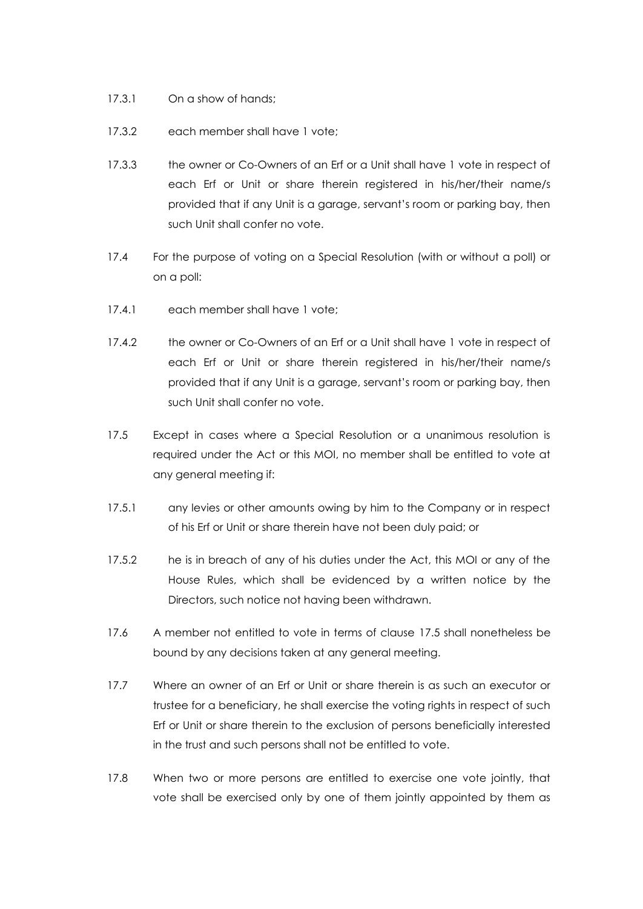- 17.3.1 On a show of hands;
- 17.3.2 each member shall have 1 vote;
- 17.3.3 the owner or Co-Owners of an Erf or a Unit shall have 1 vote in respect of each Erf or Unit or share therein registered in his/her/their name/s provided that if any Unit is a garage, servant's room or parking bay, then such Unit shall confer no vote.
- 17.4 For the purpose of voting on a Special Resolution (with or without a poll) or on a poll:
- 17.4.1 each member shall have 1 vote;
- 17.4.2 the owner or Co-Owners of an Erf or a Unit shall have 1 vote in respect of each Erf or Unit or share therein registered in his/her/their name/s provided that if any Unit is a garage, servant's room or parking bay, then such Unit shall confer no vote.
- 17.5 Except in cases where a Special Resolution or a unanimous resolution is required under the Act or this MOI, no member shall be entitled to vote at any general meeting if:
- 17.5.1 any levies or other amounts owing by him to the Company or in respect of his Erf or Unit or share therein have not been duly paid; or
- 17.5.2 he is in breach of any of his duties under the Act, this MOI or any of the House Rules, which shall be evidenced by a written notice by the Directors, such notice not having been withdrawn.
- 17.6 A member not entitled to vote in terms of clause 17.5 shall nonetheless be bound by any decisions taken at any general meeting.
- 17.7 Where an owner of an Erf or Unit or share therein is as such an executor or trustee for a beneficiary, he shall exercise the voting rights in respect of such Erf or Unit or share therein to the exclusion of persons beneficially interested in the trust and such persons shall not be entitled to vote.
- 17.8 When two or more persons are entitled to exercise one vote jointly, that vote shall be exercised only by one of them jointly appointed by them as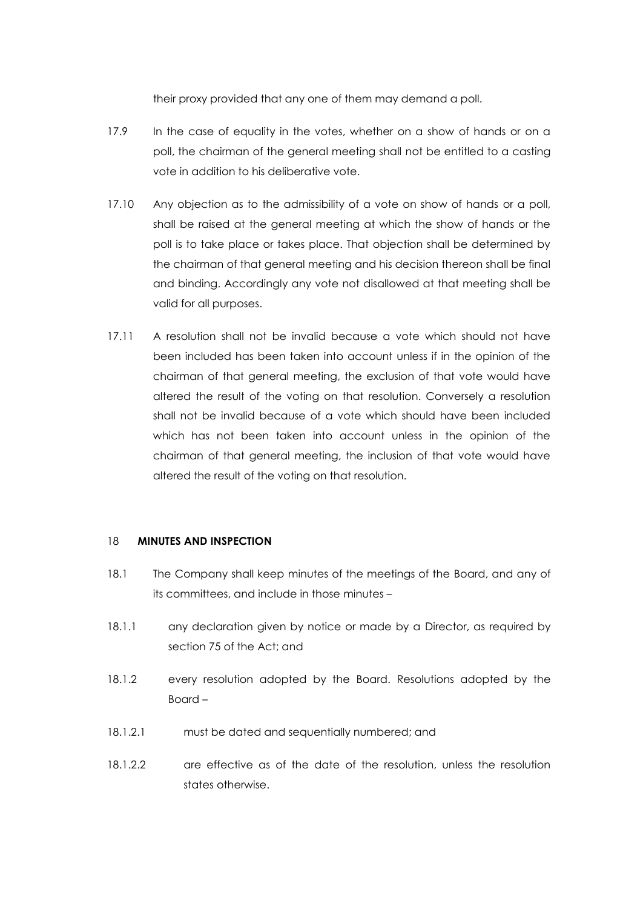their proxy provided that any one of them may demand a poll.

- 17.9 In the case of equality in the votes, whether on a show of hands or on a poll, the chairman of the general meeting shall not be entitled to a casting vote in addition to his deliberative vote.
- 17.10 Any objection as to the admissibility of a vote on show of hands or a poll, shall be raised at the general meeting at which the show of hands or the poll is to take place or takes place. That objection shall be determined by the chairman of that general meeting and his decision thereon shall be final and binding. Accordingly any vote not disallowed at that meeting shall be valid for all purposes.
- 17.11 A resolution shall not be invalid because a vote which should not have been included has been taken into account unless if in the opinion of the chairman of that general meeting, the exclusion of that vote would have altered the result of the voting on that resolution. Conversely a resolution shall not be invalid because of a vote which should have been included which has not been taken into account unless in the opinion of the chairman of that general meeting, the inclusion of that vote would have altered the result of the voting on that resolution.

## 18 **MINUTES AND INSPECTION**

- 18.1 The Company shall keep minutes of the meetings of the Board, and any of its committees, and include in those minutes –
- 18.1.1 any declaration given by notice or made by a Director, as required by section 75 of the Act; and
- 18.1.2 every resolution adopted by the Board. Resolutions adopted by the Board –
- 18.1.2.1 must be dated and sequentially numbered; and
- 18.1.2.2 are effective as of the date of the resolution, unless the resolution states otherwise.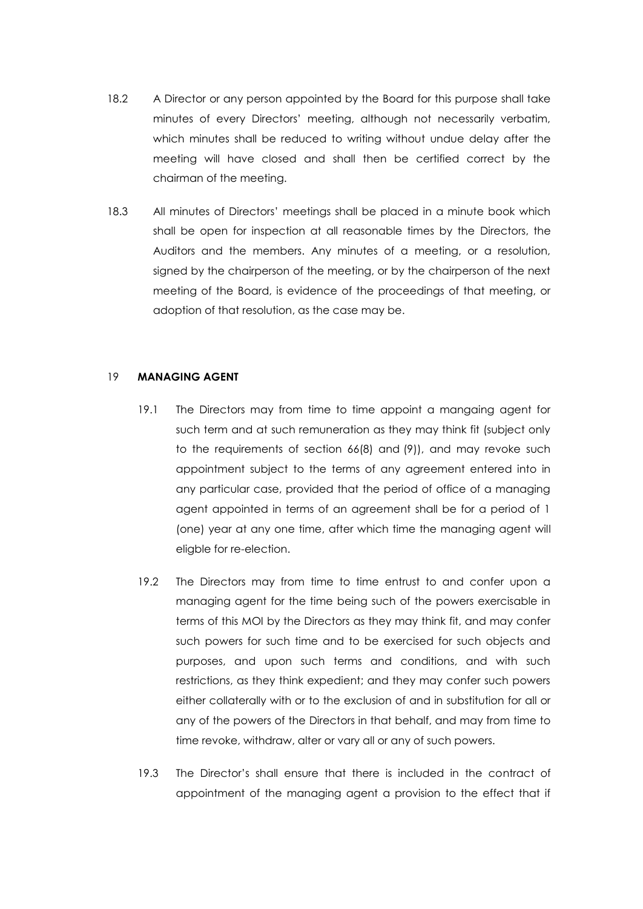- 18.2 A Director or any person appointed by the Board for this purpose shall take minutes of every Directors' meeting, although not necessarily verbatim, which minutes shall be reduced to writing without undue delay after the meeting will have closed and shall then be certified correct by the chairman of the meeting.
- 18.3 All minutes of Directors' meetings shall be placed in a minute book which shall be open for inspection at all reasonable times by the Directors, the Auditors and the members. Any minutes of a meeting, or a resolution, signed by the chairperson of the meeting, or by the chairperson of the next meeting of the Board, is evidence of the proceedings of that meeting, or adoption of that resolution, as the case may be.

## 19 **MANAGING AGENT**

- 19.1 The Directors may from time to time appoint a mangaing agent for such term and at such remuneration as they may think fit (subject only to the requirements of section 66(8) and (9)), and may revoke such appointment subject to the terms of any agreement entered into in any particular case, provided that the period of office of a managing agent appointed in terms of an agreement shall be for a period of 1 (one) year at any one time, after which time the managing agent will eligble for re-election.
- 19.2 The Directors may from time to time entrust to and confer upon a managing agent for the time being such of the powers exercisable in terms of this MOI by the Directors as they may think fit, and may confer such powers for such time and to be exercised for such objects and purposes, and upon such terms and conditions, and with such restrictions, as they think expedient; and they may confer such powers either collaterally with or to the exclusion of and in substitution for all or any of the powers of the Directors in that behalf, and may from time to time revoke, withdraw, alter or vary all or any of such powers.
- 19.3 The Director's shall ensure that there is included in the contract of appointment of the managing agent a provision to the effect that if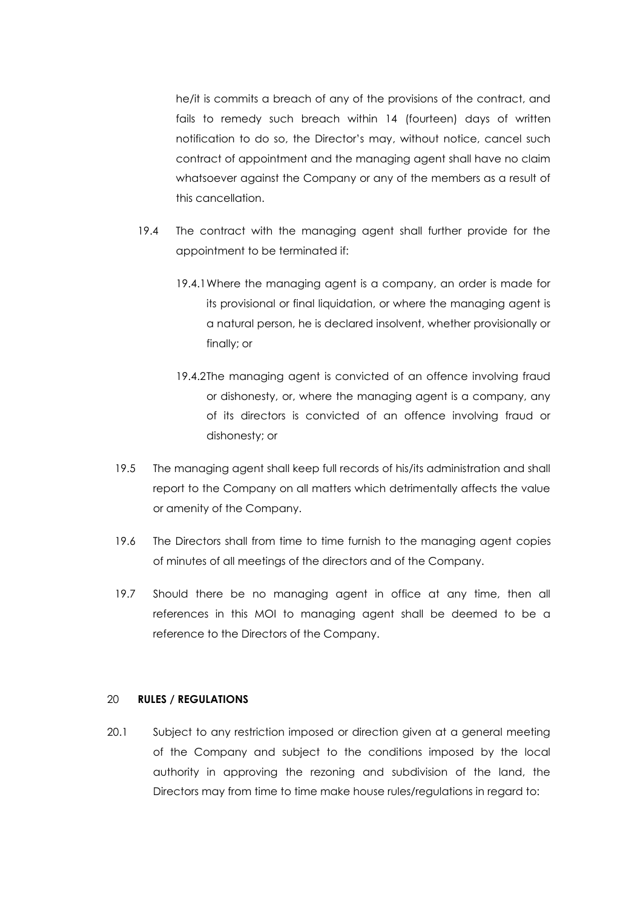he/it is commits a breach of any of the provisions of the contract, and fails to remedy such breach within 14 (fourteen) days of written notification to do so, the Director's may, without notice, cancel such contract of appointment and the managing agent shall have no claim whatsoever against the Company or any of the members as a result of this cancellation.

- 19.4 The contract with the managing agent shall further provide for the appointment to be terminated if:
	- 19.4.1Where the managing agent is a company, an order is made for its provisional or final liquidation, or where the managing agent is a natural person, he is declared insolvent, whether provisionally or finally; or
	- 19.4.2The managing agent is convicted of an offence involving fraud or dishonesty, or, where the managing agent is a company, any of its directors is convicted of an offence involving fraud or dishonesty; or
- 19.5 The managing agent shall keep full records of his/its administration and shall report to the Company on all matters which detrimentally affects the value or amenity of the Company.
- 19.6 The Directors shall from time to time furnish to the managing agent copies of minutes of all meetings of the directors and of the Company.
- 19.7 Should there be no managing agent in office at any time, then all references in this MOI to managing agent shall be deemed to be a reference to the Directors of the Company.

### 20 **RULES / REGULATIONS**

20.1 Subject to any restriction imposed or direction given at a general meeting of the Company and subject to the conditions imposed by the local authority in approving the rezoning and subdivision of the land, the Directors may from time to time make house rules/regulations in regard to: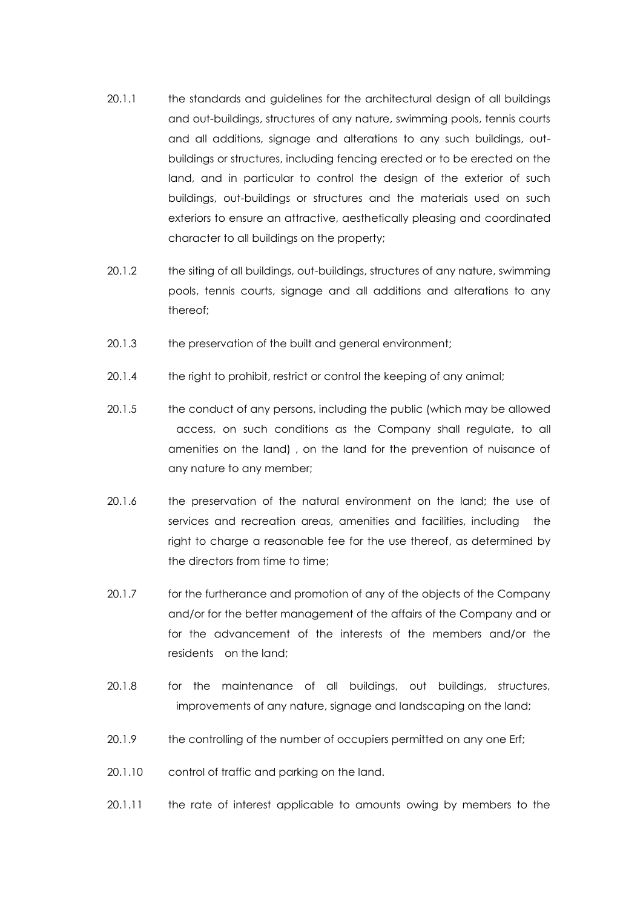- 20.1.1 the standards and guidelines for the architectural design of all buildings and out-buildings, structures of any nature, swimming pools, tennis courts and all additions, signage and alterations to any such buildings, outbuildings or structures, including fencing erected or to be erected on the land, and in particular to control the design of the exterior of such buildings, out-buildings or structures and the materials used on such exteriors to ensure an attractive, aesthetically pleasing and coordinated character to all buildings on the property;
- 20.1.2 the siting of all buildings, out-buildings, structures of any nature, swimming pools, tennis courts, signage and all additions and alterations to any thereof;
- 20.1.3 the preservation of the built and general environment;
- 20.1.4 the right to prohibit, restrict or control the keeping of any animal;
- 20.1.5 the conduct of any persons, including the public (which may be allowed access, on such conditions as the Company shall regulate, to all amenities on the land) , on the land for the prevention of nuisance of any nature to any member;
- 20.1.6 the preservation of the natural environment on the land; the use of services and recreation areas, amenities and facilities, including the right to charge a reasonable fee for the use thereof, as determined by the directors from time to time;
- 20.1.7 for the furtherance and promotion of any of the objects of the Company and/or for the better management of the affairs of the Company and or for the advancement of the interests of the members and/or the residents on the land;
- 20.1.8 for the maintenance of all buildings, out buildings, structures, improvements of any nature, signage and landscaping on the land;
- 20.1.9 the controlling of the number of occupiers permitted on any one Erf;
- 20.1.10 control of traffic and parking on the land.
- 20.1.11 the rate of interest applicable to amounts owing by members to the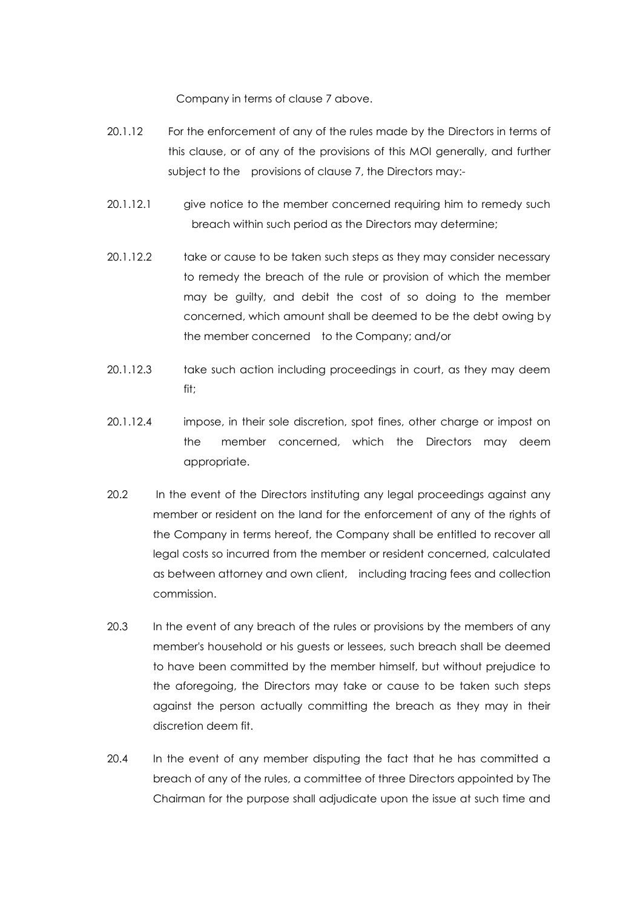Company in terms of clause [7](#page-9-1) above.

- 20.1.12 For the enforcement of any of the rules made by the Directors in terms of this clause, or of any of the provisions of this MOI generally, and further subject to the provisions of clause [7,](#page-9-1) the Directors may:-
- 20.1.12.1 give notice to the member concerned requiring him to remedy such breach within such period as the Directors may determine;
- 20.1.12.2 take or cause to be taken such steps as they may consider necessary to remedy the breach of the rule or provision of which the member may be guilty, and debit the cost of so doing to the member concerned, which amount shall be deemed to be the debt owing by the member concerned to the Company; and/or
- 20.1.12.3 take such action including proceedings in court, as they may deem fit;
- 20.1.12.4 impose, in their sole discretion, spot fines, other charge or impost on the member concerned, which the Directors may deem appropriate.
- 20.2 In the event of the Directors instituting any legal proceedings against any member or resident on the land for the enforcement of any of the rights of the Company in terms hereof, the Company shall be entitled to recover all legal costs so incurred from the member or resident concerned, calculated as between attorney and own client, including tracing fees and collection commission.
- 20.3 In the event of any breach of the rules or provisions by the members of any member's household or his guests or lessees, such breach shall be deemed to have been committed by the member himself, but without prejudice to the aforegoing, the Directors may take or cause to be taken such steps against the person actually committing the breach as they may in their discretion deem fit.
- 20.4 In the event of any member disputing the fact that he has committed a breach of any of the rules, a committee of three Directors appointed by The Chairman for the purpose shall adjudicate upon the issue at such time and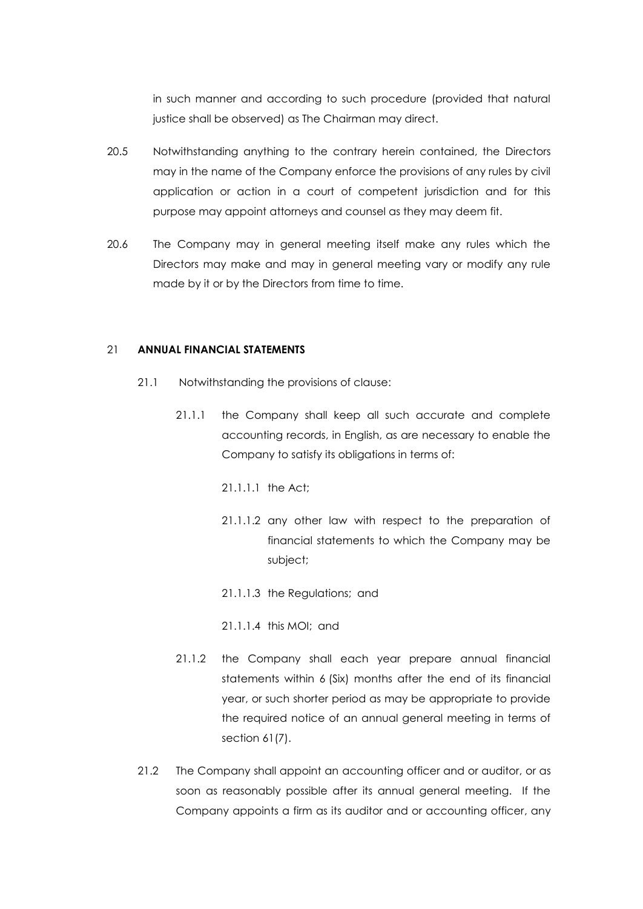in such manner and according to such procedure (provided that natural justice shall be observed) as The Chairman may direct.

- 20.5 Notwithstanding anything to the contrary herein contained, the Directors may in the name of the Company enforce the provisions of any rules by civil application or action in a court of competent jurisdiction and for this purpose may appoint attorneys and counsel as they may deem fit.
- 20.6 The Company may in general meeting itself make any rules which the Directors may make and may in general meeting vary or modify any rule made by it or by the Directors from time to time.

#### 21 **ANNUAL FINANCIAL STATEMENTS**

- 21.1 Notwithstanding the provisions of clause:
	- 21.1.1 the Company shall keep all such accurate and complete accounting records, in English, as are necessary to enable the Company to satisfy its obligations in terms of:
		- 21.1.1.1 the Act;
		- 21.1.1.2 any other law with respect to the preparation of financial statements to which the Company may be subject;
		- 21.1.1.3 the Regulations; and
		- 21.1.1.4 this MOI; and
	- 21.1.2 the Company shall each year prepare annual financial statements within 6 (Six) months after the end of its financial year, or such shorter period as may be appropriate to provide the required notice of an annual general meeting in terms of section 61(7).
- 21.2 The Company shall appoint an accounting officer and or auditor, or as soon as reasonably possible after its annual general meeting. If the Company appoints a firm as its auditor and or accounting officer, any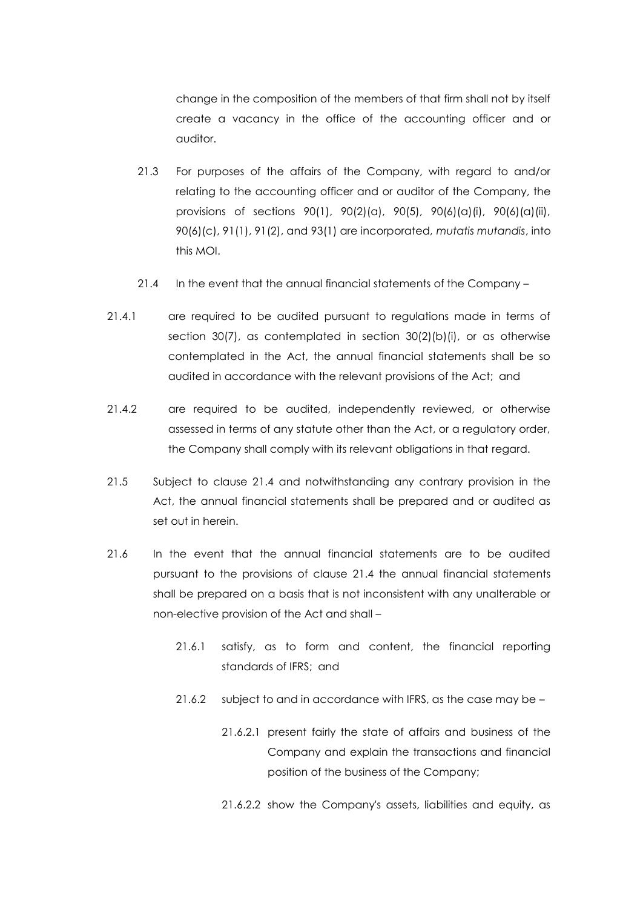change in the composition of the members of that firm shall not by itself create a vacancy in the office of the accounting officer and or auditor.

- 21.3 For purposes of the affairs of the Company, with regard to and/or relating to the accounting officer and or auditor of the Company, the provisions of sections 90(1), 90(2)(a), 90(5), 90(6)(a)(i), 90(6)(a)(ii), 90(6)(c), 91(1), 91(2), and 93(1) are incorporated, *mutatis mutandis*, into this MOI.
- 21.4 In the event that the annual financial statements of the Company –
- 21.4.1 are required to be audited pursuant to regulations made in terms of section 30(7), as contemplated in section 30(2)(b)(i), or as otherwise contemplated in the Act, the annual financial statements shall be so audited in accordance with the relevant provisions of the Act; and
- 21.4.2 are required to be audited, independently reviewed, or otherwise assessed in terms of any statute other than the Act, or a regulatory order, the Company shall comply with its relevant obligations in that regard.
- 21.5 Subject to clause 21.4 and notwithstanding any contrary provision in the Act, the annual financial statements shall be prepared and or audited as set out in herein.
- 21.6 In the event that the annual financial statements are to be audited pursuant to the provisions of clause 21.4 the annual financial statements shall be prepared on a basis that is not inconsistent with any unalterable or non-elective provision of the Act and shall –
	- 21.6.1 satisfy, as to form and content, the financial reporting standards of IFRS; and
	- 21.6.2 subject to and in accordance with IFRS, as the case may be
		- 21.6.2.1 present fairly the state of affairs and business of the Company and explain the transactions and financial position of the business of the Company;
		- 21.6.2.2 show the Company's assets, liabilities and equity, as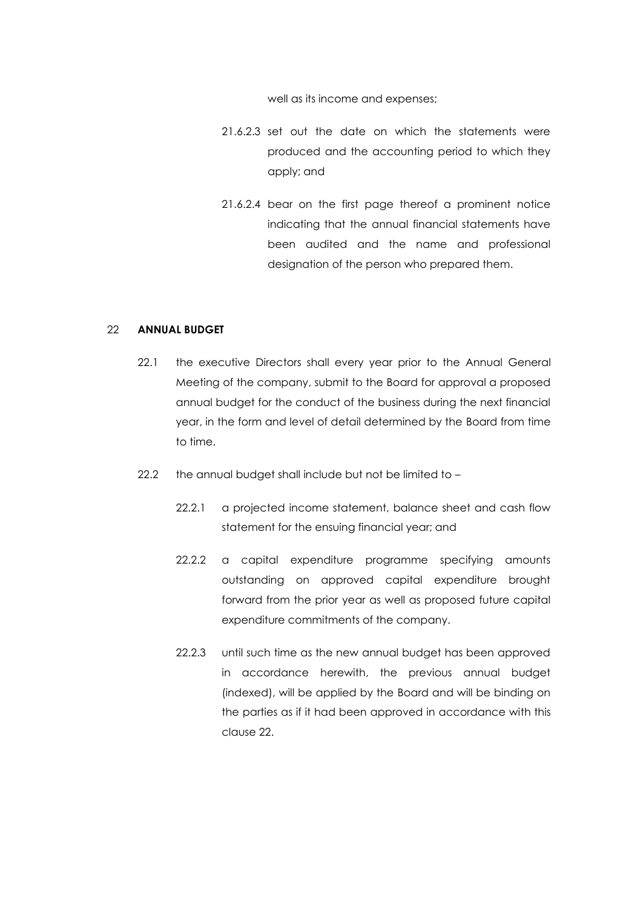well as its income and expenses;

- 21.6.2.3 set out the date on which the statements were produced and the accounting period to which they apply; and
- 21.6.2.4 bear on the first page thereof a prominent notice indicating that the annual financial statements have been audited and the name and professional designation of the person who prepared them.

## 22 **ANNUAL BUDGET**

- 22.1 the executive Directors shall every year prior to the Annual General Meeting of the company, submit to the Board for approval a proposed annual budget for the conduct of the business during the next financial year, in the form and level of detail determined by the Board from time to time.
- 22.2 the annual budget shall include but not be limited to
	- 22.2.1 a projected income statement, balance sheet and cash flow statement for the ensuing financial year; and
	- 22.2.2 a capital expenditure programme specifying amounts outstanding on approved capital expenditure brought forward from the prior year as well as proposed future capital expenditure commitments of the company.
	- 22.2.3 until such time as the new annual budget has been approved in accordance herewith, the previous annual budget (indexed), will be applied by the Board and will be binding on the parties as if it had been approved in accordance with this clause 22.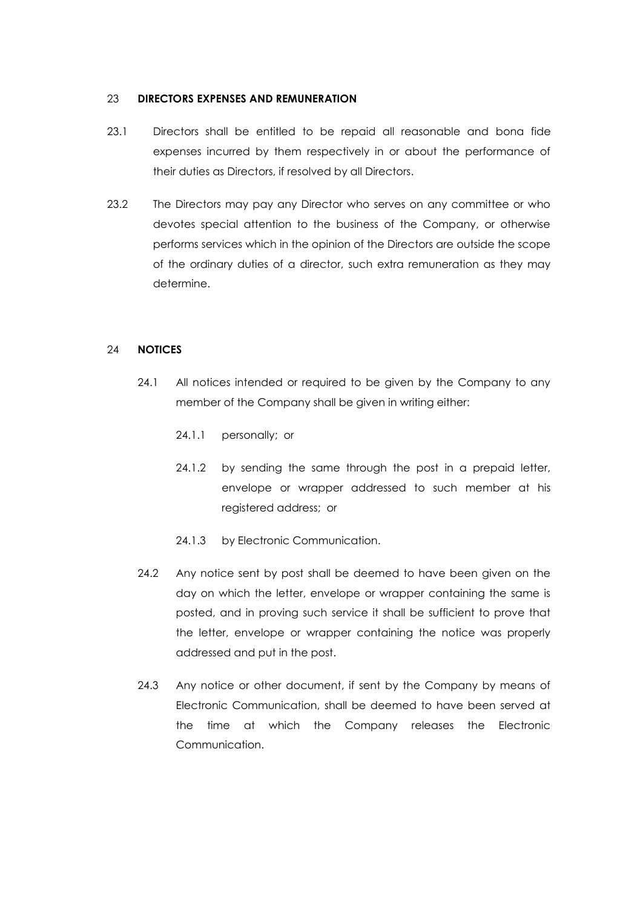#### 23 **DIRECTORS EXPENSES AND REMUNERATION**

- 23.1 Directors shall be entitled to be repaid all reasonable and bona fide expenses incurred by them respectively in or about the performance of their duties as Directors, if resolved by all Directors.
- 23.2 The Directors may pay any Director who serves on any committee or who devotes special attention to the business of the Company, or otherwise performs services which in the opinion of the Directors are outside the scope of the ordinary duties of a director, such extra remuneration as they may determine.

# 24 **NOTICES**

- 24.1 All notices intended or required to be given by the Company to any member of the Company shall be given in writing either:
	- 24.1.1 personally; or
	- 24.1.2 by sending the same through the post in a prepaid letter, envelope or wrapper addressed to such member at his registered address; or
	- 24.1.3 by Electronic Communication.
- 24.2 Any notice sent by post shall be deemed to have been given on the day on which the letter, envelope or wrapper containing the same is posted, and in proving such service it shall be sufficient to prove that the letter, envelope or wrapper containing the notice was properly addressed and put in the post.
- 24.3 Any notice or other document, if sent by the Company by means of Electronic Communication, shall be deemed to have been served at the time at which the Company releases the Electronic Communication.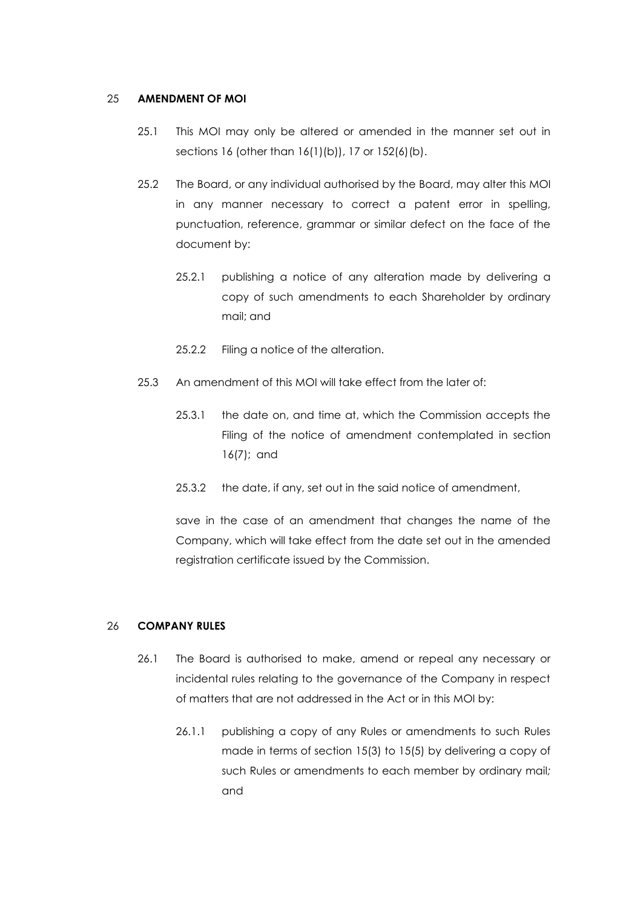#### 25 **AMENDMENT OF MOI**

- 25.1 This MOI may only be altered or amended in the manner set out in sections 16 (other than 16(1)(b)), 17 or 152(6)(b).
- 25.2 The Board, or any individual authorised by the Board, may alter this MOI in any manner necessary to correct a patent error in spelling, punctuation, reference, grammar or similar defect on the face of the document by:
	- 25.2.1 publishing a notice of any alteration made by delivering a copy of such amendments to each Shareholder by ordinary mail; and
	- 25.2.2 Filing a notice of the alteration.
- 25.3 An amendment of this MOI will take effect from the later of:
	- 25.3.1 the date on, and time at, which the Commission accepts the Filing of the notice of amendment contemplated in section 16(7); and
	- 25.3.2 the date, if any, set out in the said notice of amendment,

save in the case of an amendment that changes the name of the Company, which will take effect from the date set out in the amended registration certificate issued by the Commission.

### <span id="page-36-0"></span>26 **COMPANY RULES**

- 26.1 The Board is authorised to make, amend or repeal any necessary or incidental rules relating to the governance of the Company in respect of matters that are not addressed in the Act or in this MOI by:
	- 26.1.1 publishing a copy of any Rules or amendments to such Rules made in terms of section 15(3) to 15(5) by delivering a copy of such Rules or amendments to each member by ordinary mail*;* and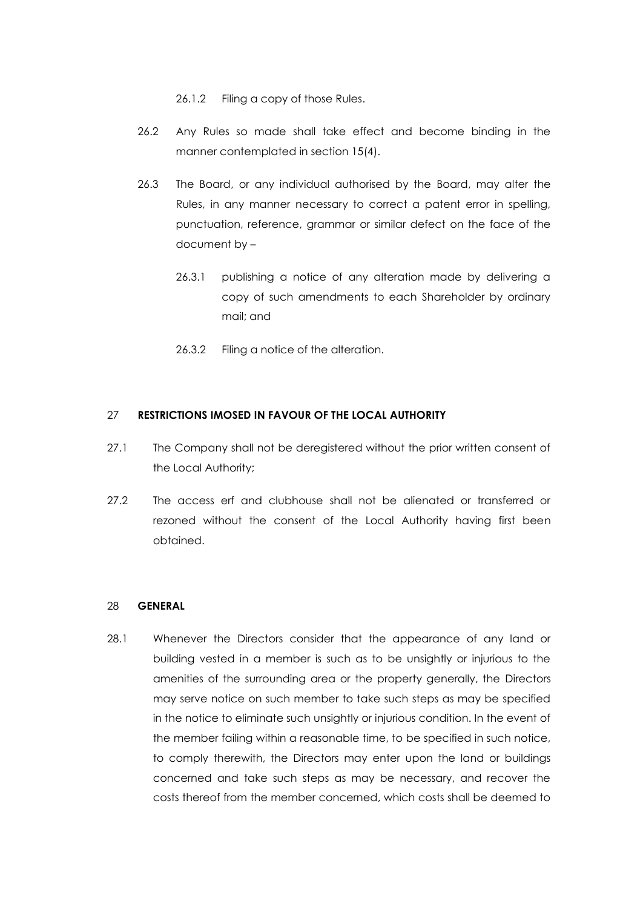26.1.2 Filing a copy of those Rules.

- 26.2 Any Rules so made shall take effect and become binding in the manner contemplated in section 15(4).
- 26.3 The Board, or any individual authorised by the Board, may alter the Rules, in any manner necessary to correct a patent error in spelling, punctuation, reference, grammar or similar defect on the face of the document by –
	- 26.3.1 publishing a notice of any alteration made by delivering a copy of such amendments to each Shareholder by ordinary mail; and
	- 26.3.2 Filing a notice of the alteration.

### 27 **RESTRICTIONS IMOSED IN FAVOUR OF THE LOCAL AUTHORITY**

- 27.1 The Company shall not be deregistered without the prior written consent of the Local Authority;
- 27.2 The access erf and clubhouse shall not be alienated or transferred or rezoned without the consent of the Local Authority having first been obtained.

### 28 **GENERAL**

28.1 Whenever the Directors consider that the appearance of any land or building vested in a member is such as to be unsightly or injurious to the amenities of the surrounding area or the property generally, the Directors may serve notice on such member to take such steps as may be specified in the notice to eliminate such unsightly or injurious condition. In the event of the member failing within a reasonable time, to be specified in such notice, to comply therewith, the Directors may enter upon the land or buildings concerned and take such steps as may be necessary, and recover the costs thereof from the member concerned, which costs shall be deemed to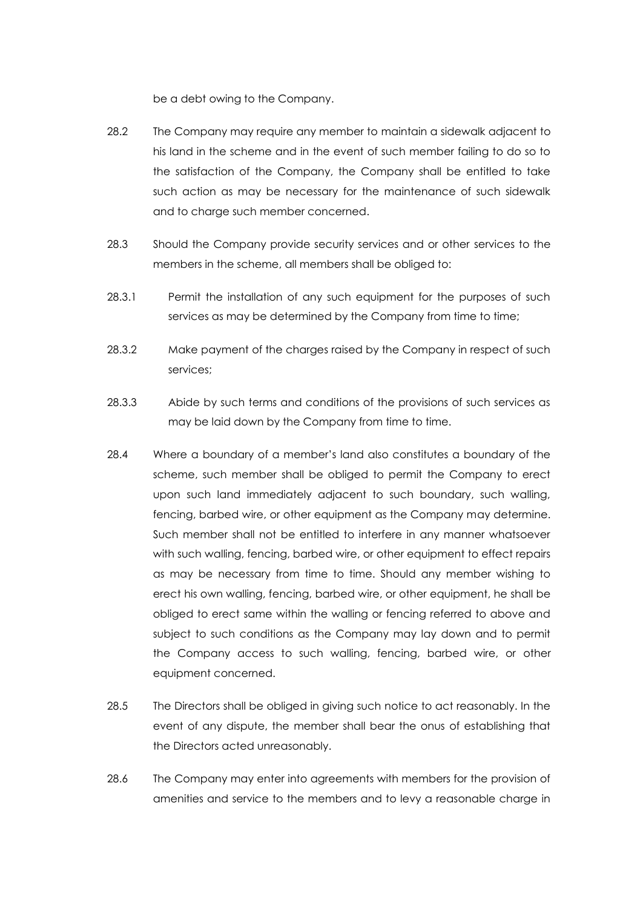be a debt owing to the Company.

- 28.2 The Company may require any member to maintain a sidewalk adjacent to his land in the scheme and in the event of such member failing to do so to the satisfaction of the Company, the Company shall be entitled to take such action as may be necessary for the maintenance of such sidewalk and to charge such member concerned.
- 28.3 Should the Company provide security services and or other services to the members in the scheme, all members shall be obliged to:
- 28.3.1 Permit the installation of any such equipment for the purposes of such services as may be determined by the Company from time to time;
- 28.3.2 Make payment of the charges raised by the Company in respect of such services;
- 28.3.3 Abide by such terms and conditions of the provisions of such services as may be laid down by the Company from time to time.
- 28.4 Where a boundary of a member's land also constitutes a boundary of the scheme, such member shall be obliged to permit the Company to erect upon such land immediately adjacent to such boundary, such walling, fencing, barbed wire, or other equipment as the Company may determine. Such member shall not be entitled to interfere in any manner whatsoever with such walling, fencing, barbed wire, or other equipment to effect repairs as may be necessary from time to time. Should any member wishing to erect his own walling, fencing, barbed wire, or other equipment, he shall be obliged to erect same within the walling or fencing referred to above and subject to such conditions as the Company may lay down and to permit the Company access to such walling, fencing, barbed wire, or other equipment concerned.
- 28.5 The Directors shall be obliged in giving such notice to act reasonably. In the event of any dispute, the member shall bear the onus of establishing that the Directors acted unreasonably.
- 28.6 The Company may enter into agreements with members for the provision of amenities and service to the members and to levy a reasonable charge in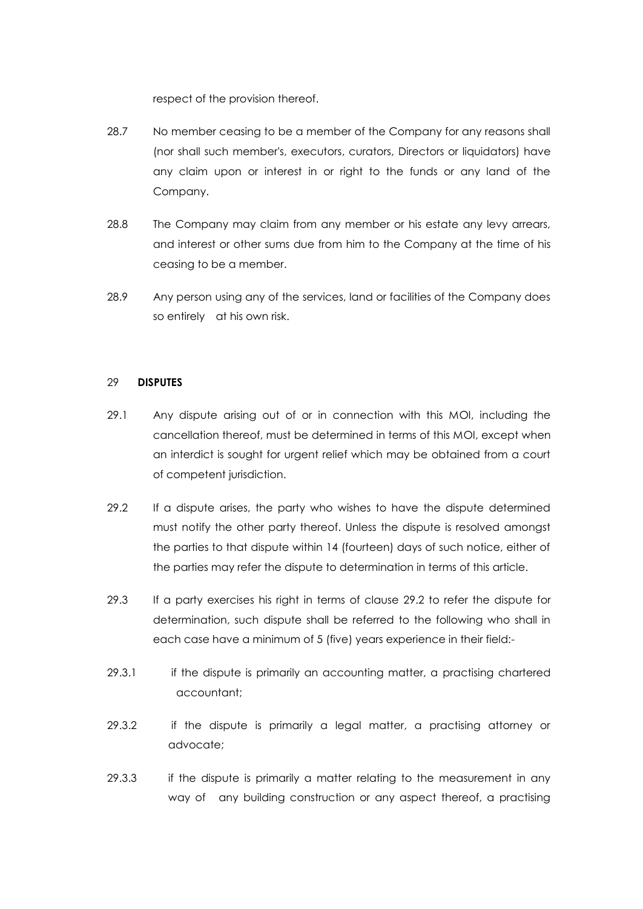respect of the provision thereof.

- 28.7 No member ceasing to be a member of the Company for any reasons shall (nor shall such member's, executors, curators, Directors or liquidators) have any claim upon or interest in or right to the funds or any land of the Company.
- 28.8 The Company may claim from any member or his estate any levy arrears, and interest or other sums due from him to the Company at the time of his ceasing to be a member.
- 28.9 Any person using any of the services, land or facilities of the Company does so entirely at his own risk.

#### 29 **DISPUTES**

- 29.1 Any dispute arising out of or in connection with this MOI, including the cancellation thereof, must be determined in terms of this MOI, except when an interdict is sought for urgent relief which may be obtained from a court of competent jurisdiction.
- 29.2 If a dispute arises, the party who wishes to have the dispute determined must notify the other party thereof. Unless the dispute is resolved amongst the parties to that dispute within 14 (fourteen) days of such notice, either of the parties may refer the dispute to determination in terms of this article.
- 29.3 If a party exercises his right in terms of clause 29.2 to refer the dispute for determination, such dispute shall be referred to the following who shall in each case have a minimum of 5 (five) years experience in their field:-
- 29.3.1 if the dispute is primarily an accounting matter, a practising chartered accountant;
- 29.3.2 if the dispute is primarily a legal matter, a practising attorney or advocate;
- 29.3.3 if the dispute is primarily a matter relating to the measurement in any way of any building construction or any aspect thereof, a practising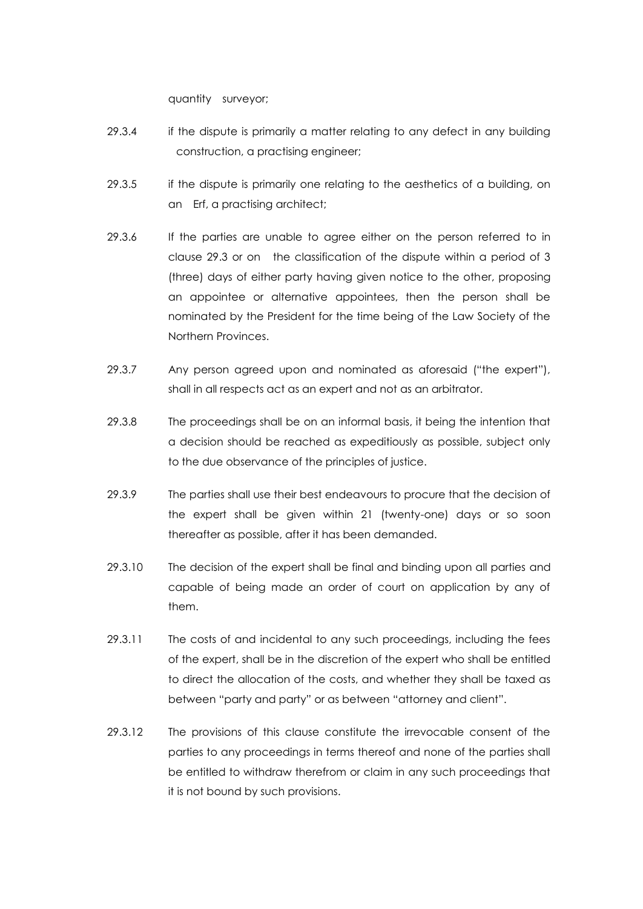quantity surveyor;

- 29.3.4 if the dispute is primarily a matter relating to any defect in any building construction, a practising engineer;
- 29.3.5 if the dispute is primarily one relating to the aesthetics of a building, on an Erf, a practising architect;
- 29.3.6 If the parties are unable to agree either on the person referred to in clause 29.3 or on the classification of the dispute within a period of 3 (three) days of either party having given notice to the other, proposing an appointee or alternative appointees, then the person shall be nominated by the President for the time being of the Law Society of the Northern Provinces.
- 29.3.7 Any person agreed upon and nominated as aforesaid ("the expert"), shall in all respects act as an expert and not as an arbitrator.
- 29.3.8 The proceedings shall be on an informal basis, it being the intention that a decision should be reached as expeditiously as possible, subject only to the due observance of the principles of justice.
- 29.3.9 The parties shall use their best endeavours to procure that the decision of the expert shall be given within 21 (twenty-one) days or so soon thereafter as possible, after it has been demanded.
- 29.3.10 The decision of the expert shall be final and binding upon all parties and capable of being made an order of court on application by any of them.
- 29.3.11 The costs of and incidental to any such proceedings, including the fees of the expert, shall be in the discretion of the expert who shall be entitled to direct the allocation of the costs, and whether they shall be taxed as between "party and party" or as between "attorney and client".
- 29.3.12 The provisions of this clause constitute the irrevocable consent of the parties to any proceedings in terms thereof and none of the parties shall be entitled to withdraw therefrom or claim in any such proceedings that it is not bound by such provisions.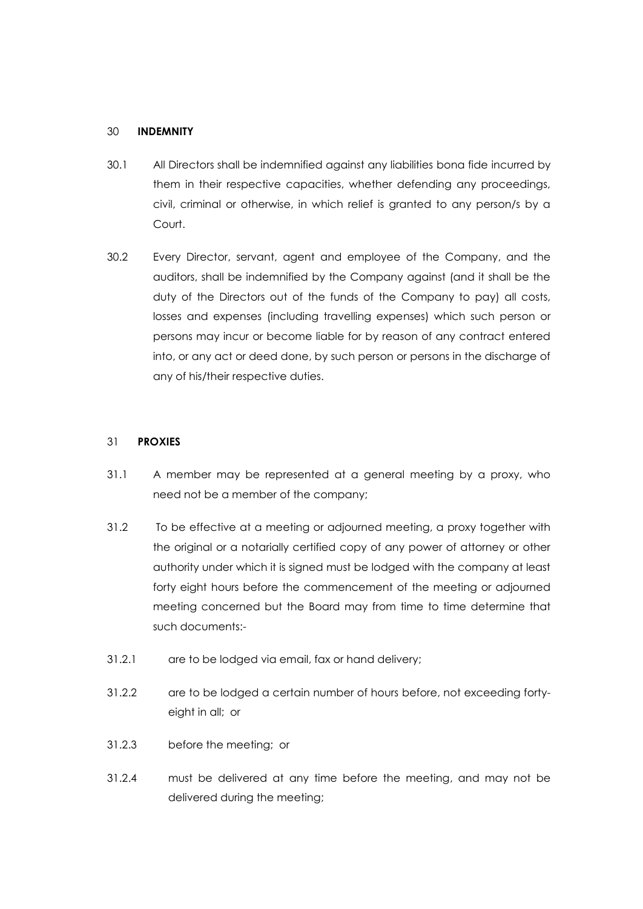#### 30 **INDEMNITY**

- 30.1 All Directors shall be indemnified against any liabilities bona fide incurred by them in their respective capacities, whether defending any proceedings, civil, criminal or otherwise, in which relief is granted to any person/s by a Court.
- 30.2 Every Director, servant, agent and employee of the Company, and the auditors, shall be indemnified by the Company against (and it shall be the duty of the Directors out of the funds of the Company to pay) all costs, losses and expenses (including travelling expenses) which such person or persons may incur or become liable for by reason of any contract entered into, or any act or deed done, by such person or persons in the discharge of any of his/their respective duties.

#### 31 **PROXIES**

- 31.1 A member may be represented at a general meeting by a proxy, who need not be a member of the company;
- 31.2 To be effective at a meeting or adjourned meeting, a proxy together with the original or a notarially certified copy of any power of attorney or other authority under which it is signed must be lodged with the company at least forty eight hours before the commencement of the meeting or adjourned meeting concerned but the Board may from time to time determine that such documents:-
- 31.2.1 are to be lodged via email, fax or hand delivery;
- 31.2.2 are to be lodged a certain number of hours before, not exceeding fortyeight in all; or
- 31.2.3 before the meeting; or
- 31.2.4 must be delivered at any time before the meeting, and may not be delivered during the meeting;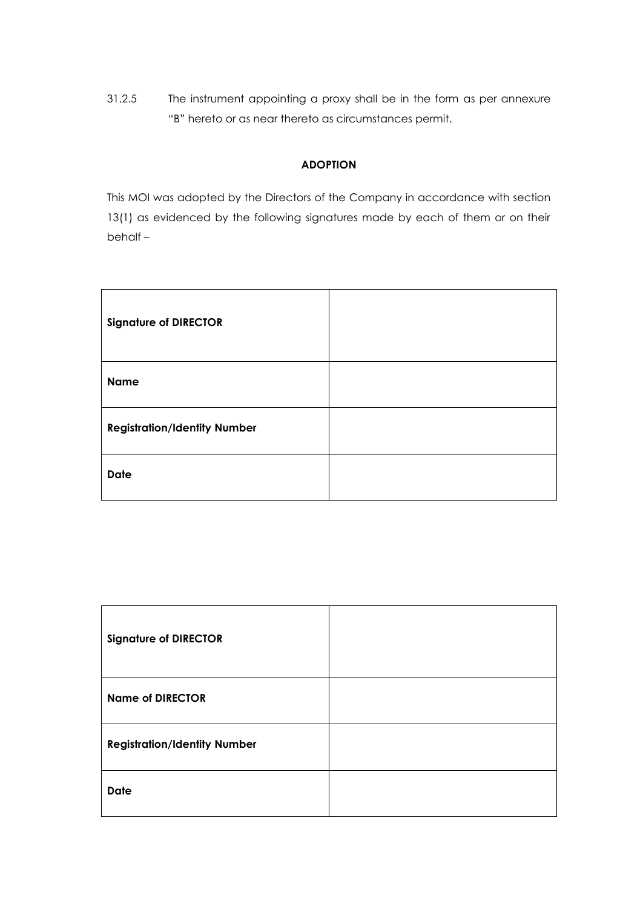31.2.5 The instrument appointing a proxy shall be in the form as per annexure "B" hereto or as near thereto as circumstances permit.

# **ADOPTION**

This MOI was adopted by the Directors of the Company in accordance with section 13(1) as evidenced by the following signatures made by each of them or on their behalf –

| <b>Signature of DIRECTOR</b>        |  |
|-------------------------------------|--|
| <b>Name</b>                         |  |
| <b>Registration/Identity Number</b> |  |
| <b>Date</b>                         |  |

| <b>Signature of DIRECTOR</b>        |  |
|-------------------------------------|--|
| <b>Name of DIRECTOR</b>             |  |
| <b>Registration/Identity Number</b> |  |
| <b>Date</b>                         |  |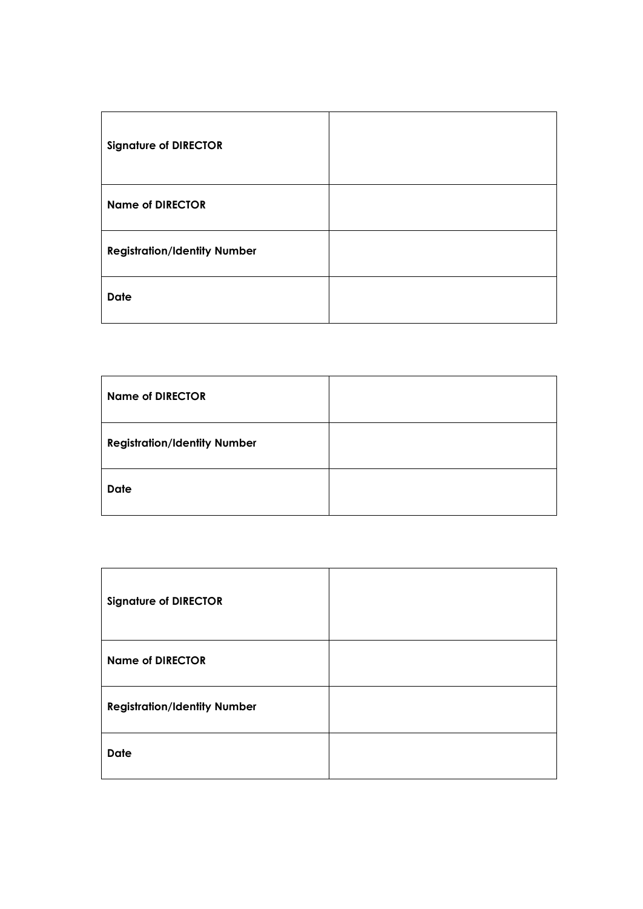| <b>Signature of DIRECTOR</b>        |  |
|-------------------------------------|--|
| <b>Name of DIRECTOR</b>             |  |
| <b>Registration/Identity Number</b> |  |
| <b>Date</b>                         |  |

| <b>Name of DIRECTOR</b>             |  |
|-------------------------------------|--|
| <b>Registration/Identity Number</b> |  |
| <b>Date</b>                         |  |

| <b>Signature of DIRECTOR</b>        |  |
|-------------------------------------|--|
| <b>Name of DIRECTOR</b>             |  |
| <b>Registration/Identity Number</b> |  |
| <b>Date</b>                         |  |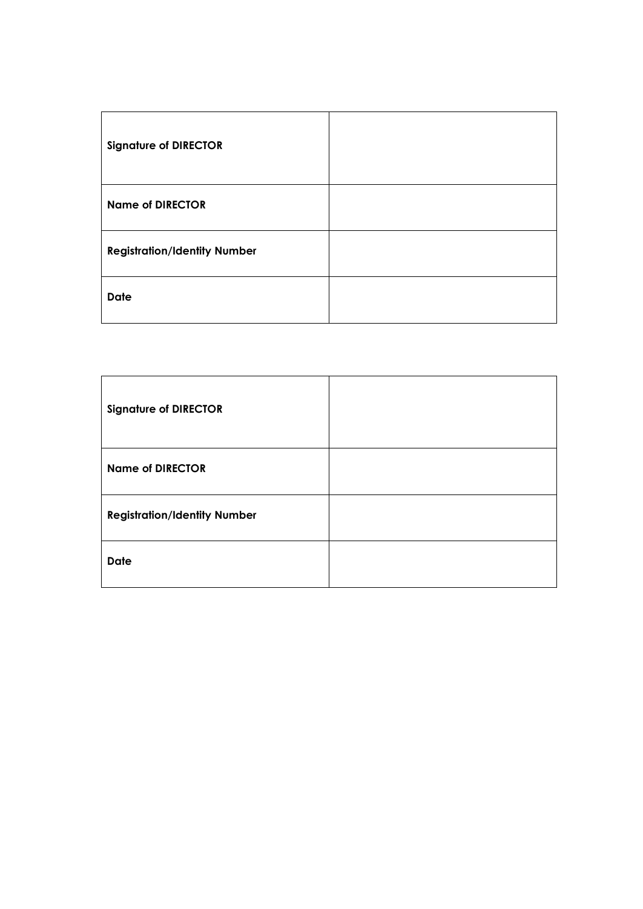| <b>Signature of DIRECTOR</b>        |  |
|-------------------------------------|--|
| <b>Name of DIRECTOR</b>             |  |
| <b>Registration/Identity Number</b> |  |
| <b>Date</b>                         |  |

| <b>Signature of DIRECTOR</b>        |  |
|-------------------------------------|--|
| <b>Name of DIRECTOR</b>             |  |
| <b>Registration/Identity Number</b> |  |
| <b>Date</b>                         |  |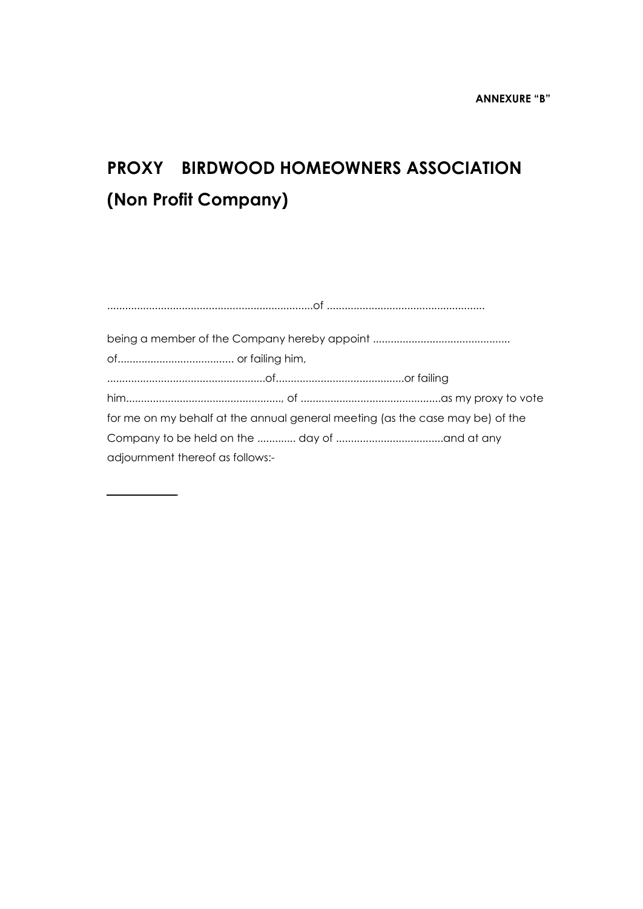# **PROXY BIRDWOOD HOMEOWNERS ASSOCIATION (Non Profit Company)**

| for me on my behalf at the annual general meeting (as the case may be) of the |
|-------------------------------------------------------------------------------|
|                                                                               |
| adjournment thereof as follows:-                                              |
|                                                                               |